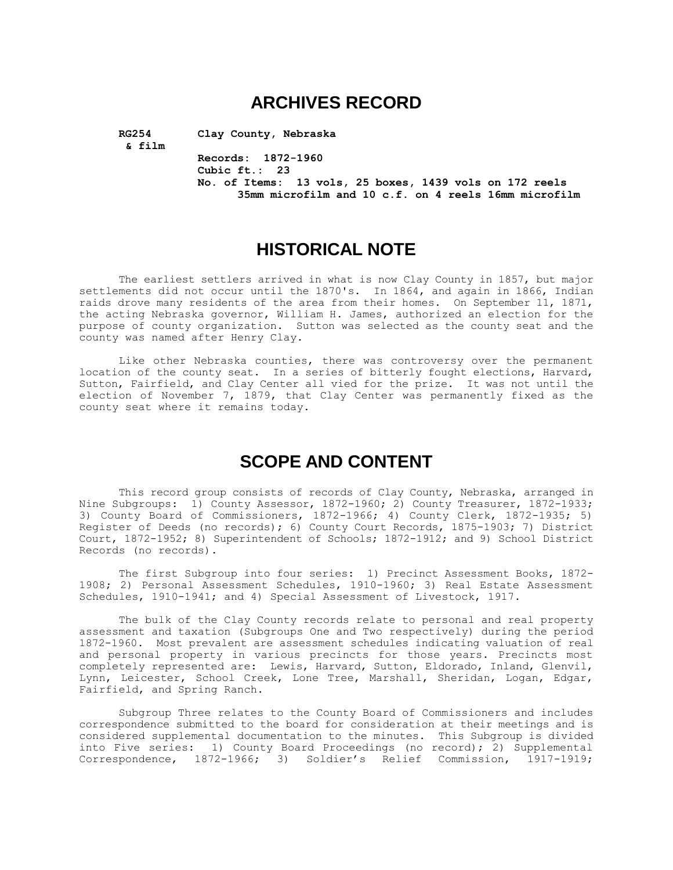## **ARCHIVES RECORD**

**& film**

**RG254 Clay County, Nebraska**

**Records: 1872-1960 Cubic ft.: 23 No. of Items: 13 vols, 25 boxes, 1439 vols on 172 reels 35mm microfilm and 10 c.f. on 4 reels 16mm microfilm**

## **HISTORICAL NOTE**

The earliest settlers arrived in what is now Clay County in 1857, but major settlements did not occur until the 1870's. In 1864, and again in 1866, Indian raids drove many residents of the area from their homes. On September 11, 1871, the acting Nebraska governor, William H. James, authorized an election for the purpose of county organization. Sutton was selected as the county seat and the county was named after Henry Clay.

Like other Nebraska counties, there was controversy over the permanent location of the county seat. In a series of bitterly fought elections, Harvard, Sutton, Fairfield, and Clay Center all vied for the prize. It was not until the election of November 7, 1879, that Clay Center was permanently fixed as the county seat where it remains today.

## **SCOPE AND CONTENT**

This record group consists of records of Clay County, Nebraska, arranged in Nine Subgroups: 1) County Assessor, 1872-1960; 2) County Treasurer, 1872-1933; 3) County Board of Commissioners, 1872-1966; 4) County Clerk, 1872-1935; 5) Register of Deeds (no records); 6) County Court Records, 1875-1903; 7) District Court, 1872-1952; 8) Superintendent of Schools; 1872-1912; and 9) School District Records (no records).

The first Subgroup into four series: 1) Precinct Assessment Books, 1872- 1908; 2) Personal Assessment Schedules, 1910-1960; 3) Real Estate Assessment Schedules, 1910-1941; and 4) Special Assessment of Livestock, 1917.

The bulk of the Clay County records relate to personal and real property assessment and taxation (Subgroups One and Two respectively) during the period 1872-1960. Most prevalent are assessment schedules indicating valuation of real and personal property in various precincts for those years. Precincts most completely represented are: Lewis, Harvard, Sutton, Eldorado, Inland, Glenvil, Lynn, Leicester, School Creek, Lone Tree, Marshall, Sheridan, Logan, Edgar, Fairfield, and Spring Ranch.

Subgroup Three relates to the County Board of Commissioners and includes correspondence submitted to the board for consideration at their meetings and is considered supplemental documentation to the minutes. This Subgroup is divided into Five series: 1) County Board Proceedings (no record); 2) Supplemental Correspondence, 1872-1966; 3) Soldier's Relief Commission, 1917-1919;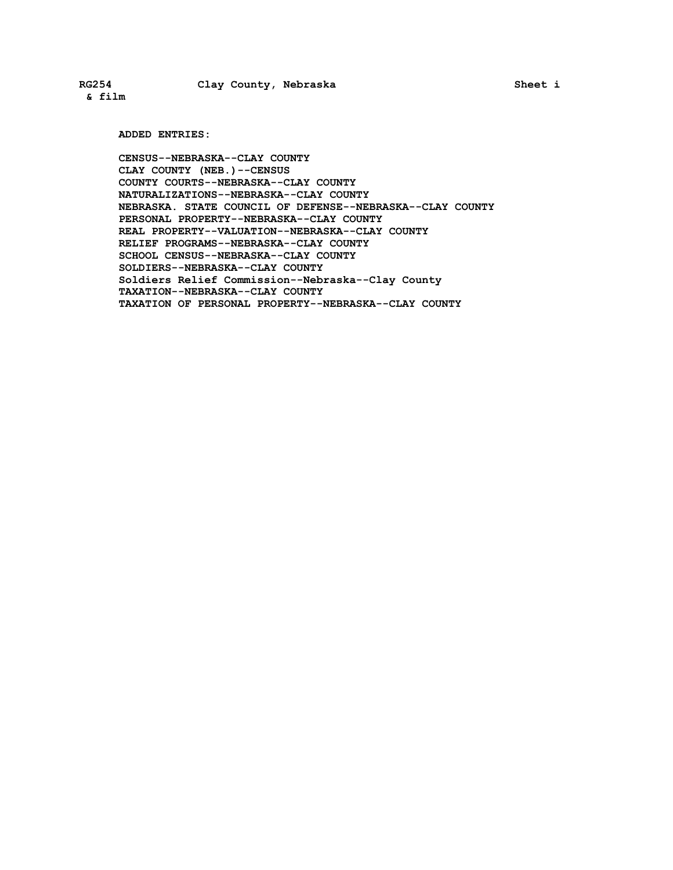**& film**

**ADDED ENTRIES:**

**CENSUS--NEBRASKA--CLAY COUNTY CLAY COUNTY (NEB.)--CENSUS COUNTY COURTS--NEBRASKA--CLAY COUNTY NATURALIZATIONS--NEBRASKA--CLAY COUNTY NEBRASKA. STATE COUNCIL OF DEFENSE--NEBRASKA--CLAY COUNTY PERSONAL PROPERTY--NEBRASKA--CLAY COUNTY REAL PROPERTY--VALUATION--NEBRASKA--CLAY COUNTY RELIEF PROGRAMS--NEBRASKA--CLAY COUNTY SCHOOL CENSUS--NEBRASKA--CLAY COUNTY SOLDIERS--NEBRASKA--CLAY COUNTY Soldiers Relief Commission--Nebraska--Clay County TAXATION--NEBRASKA--CLAY COUNTY TAXATION OF PERSONAL PROPERTY--NEBRASKA--CLAY COUNTY**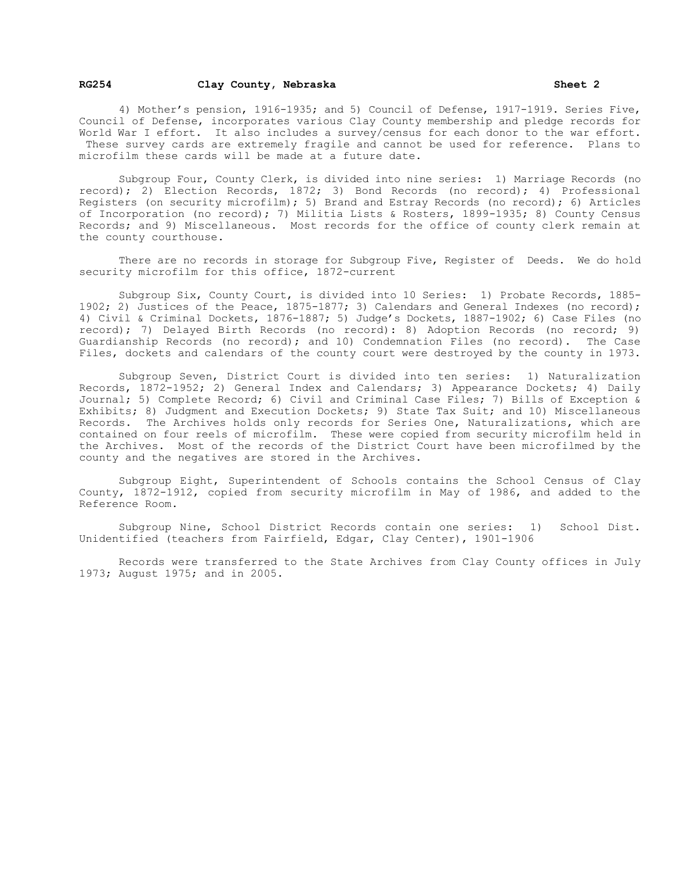#### **RG254 Clay County, Nebraska Sheet 2**

4) Mother's pension, 1916-1935; and 5) Council of Defense, 1917-1919. Series Five, Council of Defense, incorporates various Clay County membership and pledge records for World War I effort. It also includes a survey/census for each donor to the war effort. These survey cards are extremely fragile and cannot be used for reference. Plans to microfilm these cards will be made at a future date.

Subgroup Four, County Clerk, is divided into nine series: 1) Marriage Records (no record); 2) Election Records, 1872; 3) Bond Records (no record); 4) Professional Registers (on security microfilm); 5) Brand and Estray Records (no record); 6) Articles of Incorporation (no record); 7) Militia Lists & Rosters, 1899-1935; 8) County Census Records; and 9) Miscellaneous. Most records for the office of county clerk remain at the county courthouse.

There are no records in storage for Subgroup Five, Register of Deeds. We do hold security microfilm for this office, 1872-current

Subgroup Six, County Court, is divided into 10 Series: 1) Probate Records, 1885- 1902; 2) Justices of the Peace, 1875-1877; 3) Calendars and General Indexes (no record); 4) Civil & Criminal Dockets, 1876-1887; 5) Judge's Dockets, 1887-1902; 6) Case Files (no record); 7) Delayed Birth Records (no record): 8) Adoption Records (no record; 9) Guardianship Records (no record); and 10) Condemnation Files (no record). The Case Files, dockets and calendars of the county court were destroyed by the county in 1973.

Subgroup Seven, District Court is divided into ten series: 1) Naturalization Records, 1872-1952; 2) General Index and Calendars; 3) Appearance Dockets; 4) Daily Journal; 5) Complete Record; 6) Civil and Criminal Case Files; 7) Bills of Exception & Exhibits; 8) Judgment and Execution Dockets; 9) State Tax Suit; and 10) Miscellaneous Records. The Archives holds only records for Series One, Naturalizations, which are contained on four reels of microfilm. These were copied from security microfilm held in the Archives. Most of the records of the District Court have been microfilmed by the county and the negatives are stored in the Archives.

Subgroup Eight, Superintendent of Schools contains the School Census of Clay County, 1872-1912, copied from security microfilm in May of 1986, and added to the Reference Room.

Subgroup Nine, School District Records contain one series: 1) School Dist. Unidentified (teachers from Fairfield, Edgar, Clay Center), 1901-1906

Records were transferred to the State Archives from Clay County offices in July 1973; August 1975; and in 2005.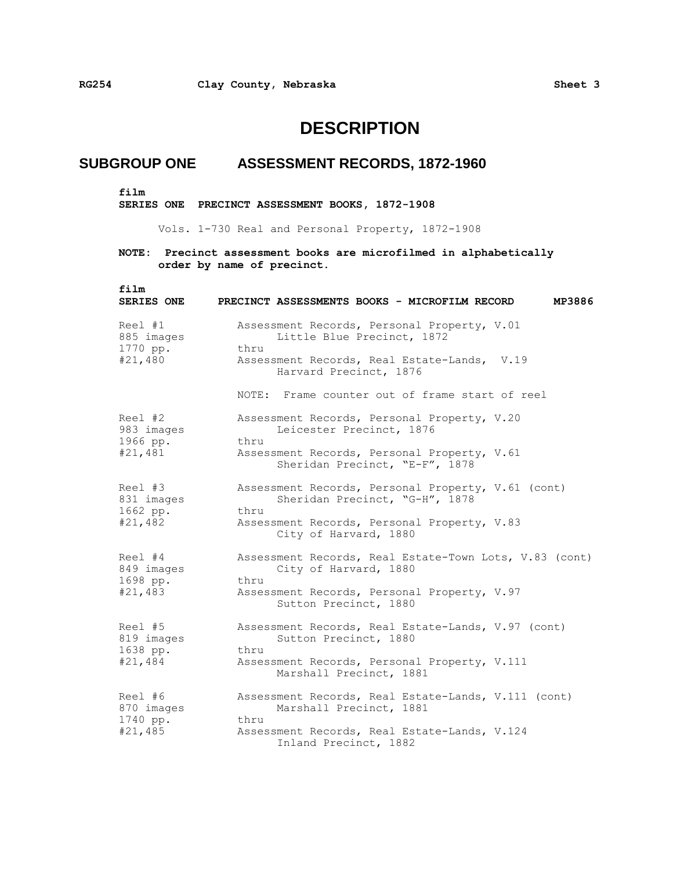## **DESCRIPTION**

## **SUBGROUP ONE ASSESSMENT RECORDS, 1872-1960**

**film**

**SERIES ONE PRECINCT ASSESSMENT BOOKS, 1872-1908** 

Vols. 1-730 Real and Personal Property, 1872-1908

| film<br>SERIES ONE                           | MP3886<br>PRECINCT ASSESSMENTS BOOKS - MICROFILM RECORD                                      |
|----------------------------------------------|----------------------------------------------------------------------------------------------|
| Reel #1<br>885 images                        | Assessment Records, Personal Property, V.01<br>Little Blue Precinct, 1872                    |
| 1770 pp.<br>#21,480                          | thru<br>Assessment Records, Real Estate-Lands, V.19<br>Harvard Precinct, 1876                |
|                                              | NOTE: Frame counter out of frame start of reel                                               |
| Reel #2<br>983 images<br>1966 pp.            | Assessment Records, Personal Property, V.20<br>Leicester Precinct, 1876<br>thru              |
| #21,481                                      | Assessment Records, Personal Property, V.61<br>Sheridan Precinct, "E-F", 1878                |
| Reel #3<br>831 images<br>1662 pp.<br>#21,482 | Assessment Records, Personal Property, V.61 (cont)<br>Sheridan Precinct, "G-H", 1878<br>thru |
|                                              | Assessment Records, Personal Property, V.83<br>City of Harvard, 1880                         |
| Reel #4<br>849 images<br>1698 pp.<br>#21,483 | Assessment Records, Real Estate-Town Lots, V.83 (cont)<br>City of Harvard, 1880<br>thru      |
|                                              | Assessment Records, Personal Property, V.97<br>Sutton Precinct, 1880                         |
| Reel #5<br>819 images<br>1638 pp.<br>#21,484 | Assessment Records, Real Estate-Lands, V.97 (cont)<br>Sutton Precinct, 1880<br>thru          |
|                                              | Assessment Records, Personal Property, V.111<br>Marshall Precinct, 1881                      |
| Reel #6<br>870 images                        | Assessment Records, Real Estate-Lands, V.111 (cont)<br>Marshall Precinct, 1881               |
| 1740 pp.<br>#21,485                          | thru<br>Assessment Records, Real Estate-Lands, V.124<br>Inland Precinct, 1882                |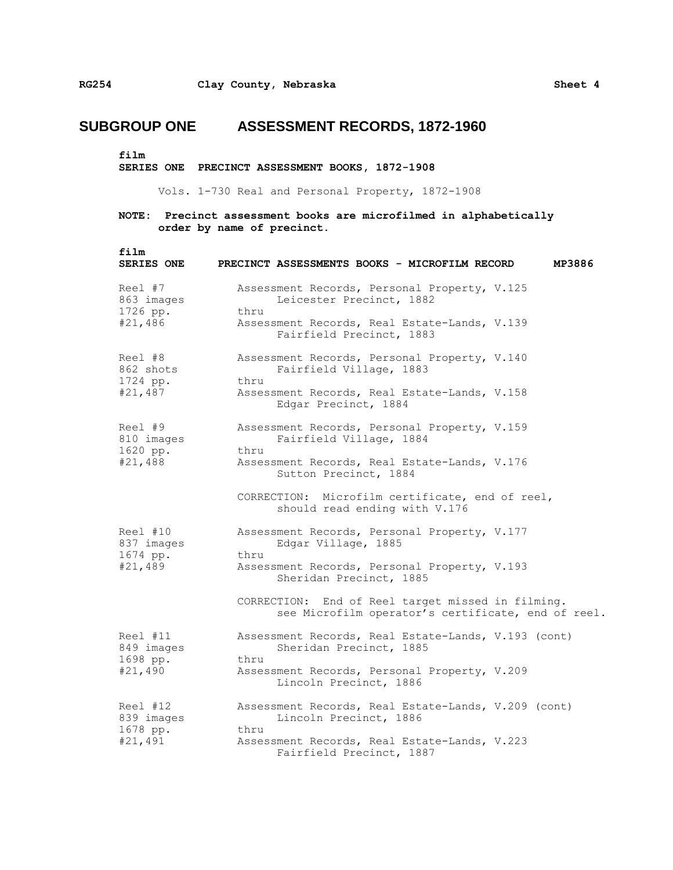**film**

**SERIES ONE PRECINCT ASSESSMENT BOOKS, 1872-1908** 

Vols. 1-730 Real and Personal Property, 1872-1908

| film<br><b>SERIES ONE</b>                     | PRECINCT ASSESSMENTS BOOKS - MICROFILM RECORD<br>MP3886                                                 |
|-----------------------------------------------|---------------------------------------------------------------------------------------------------------|
| Reel #7<br>863 images<br>1726 pp.<br>#21,486  | Assessment Records, Personal Property, V.125<br>Leicester Precinct, 1882<br>thru                        |
|                                               | Assessment Records, Real Estate-Lands, V.139<br>Fairfield Precinct, 1883                                |
| Reel #8<br>862 shots                          | Assessment Records, Personal Property, V.140<br>Fairfield Village, 1883                                 |
| 1724 pp.<br>#21,487                           | thru<br>Assessment Records, Real Estate-Lands, V.158<br>Edgar Precinct, 1884                            |
| Reel #9<br>810 images                         | Assessment Records, Personal Property, V.159<br>Fairfield Village, 1884                                 |
| 1620 pp.<br>#21,488                           | thru<br>Assessment Records, Real Estate-Lands, V.176<br>Sutton Precinct, 1884                           |
|                                               | CORRECTION: Microfilm certificate, end of reel,<br>should read ending with V.176                        |
| Reel #10<br>837 images<br>1674 pp.<br>#21,489 | Assessment Records, Personal Property, V.177<br>Edgar Village, 1885                                     |
|                                               | thru<br>Assessment Records, Personal Property, V.193<br>Sheridan Precinct, 1885                         |
|                                               | CORRECTION: End of Reel target missed in filming.<br>see Microfilm operator's certificate, end of reel. |
| Reel #11<br>849 images<br>1698 pp.<br>#21,490 | Assessment Records, Real Estate-Lands, V.193 (cont)<br>Sheridan Precinct, 1885                          |
|                                               | thru<br>Assessment Records, Personal Property, V.209<br>Lincoln Precinct, 1886                          |
| Reel #12<br>839 images                        | Assessment Records, Real Estate-Lands, V.209 (cont)<br>Lincoln Precinct, 1886                           |
| 1678 pp.<br>#21,491                           | thru<br>Assessment Records, Real Estate-Lands, V.223<br>Fairfield Precinct, 1887                        |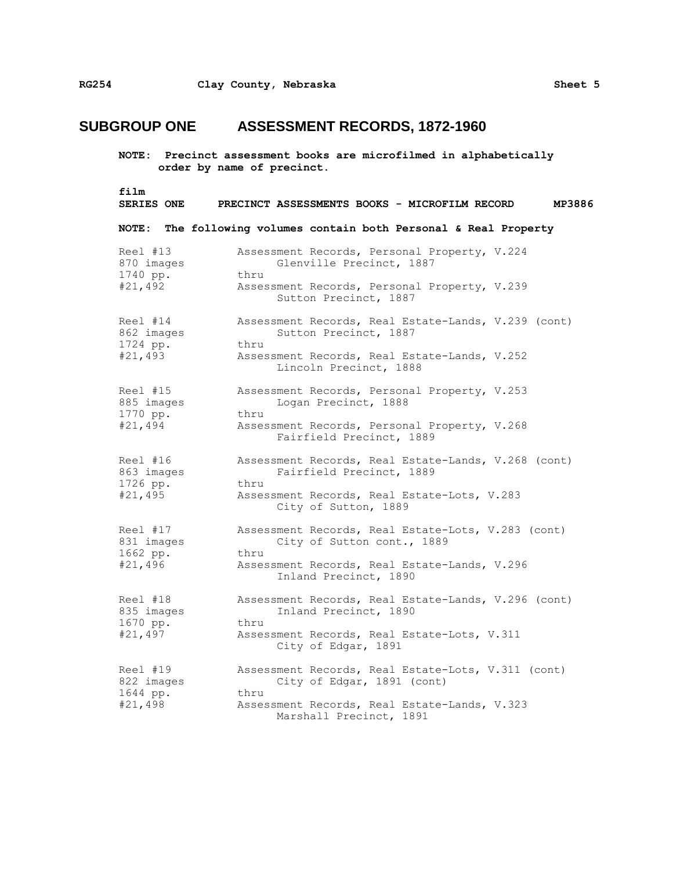| film                | PRECINCT ASSESSMENTS BOOKS - MICROFILM RECORD                                   |
|---------------------|---------------------------------------------------------------------------------|
| SERIES ONE          | MP3886                                                                          |
| <b>NOTE:</b>        | The following volumes contain both Personal & Real Property                     |
| Reel #13            | Assessment Records, Personal Property, V.224                                    |
| 870 images          | Glenville Precinct, 1887                                                        |
| 1740 pp.            | thru                                                                            |
| #21,492             | Assessment Records, Personal Property, V.239<br>Sutton Precinct, 1887           |
| Reel #14            | Assessment Records, Real Estate-Lands, V.239 (cont)                             |
| 862 images          | Sutton Precinct, 1887                                                           |
| 1724 pp.            | thru                                                                            |
| #21,493             | Assessment Records, Real Estate-Lands, V.252<br>Lincoln Precinct, 1888          |
| Reel #15            | Assessment Records, Personal Property, V.253                                    |
| 885 images          | Logan Precinct, 1888                                                            |
| 1770 pp.            | thru                                                                            |
| #21,494             | Assessment Records, Personal Property, V.268<br>Fairfield Precinct, 1889        |
| Reel #16            | Assessment Records, Real Estate-Lands, V.268 (cont)                             |
| 863 images          | Fairfield Precinct, 1889                                                        |
| 1726 pp.            | thru                                                                            |
| #21,495             | Assessment Records, Real Estate-Lots, V.283<br>City of Sutton, 1889             |
| Reel #17            | Assessment Records, Real Estate-Lots, V.283 (cont)                              |
| 831 images          | City of Sutton cont., 1889                                                      |
| 1662 pp.<br>#21,496 | thru<br>Assessment Records, Real Estate-Lands, V.296<br>Inland Precinct, 1890   |
| Reel #18            | Assessment Records, Real Estate-Lands, V.296 (cont)                             |
| 835 images          | Inland Precinct, 1890                                                           |
| 1670 pp.<br>#21,497 | thru<br>Assessment Records, Real Estate-Lots, V.311<br>City of Edgar, 1891      |
| Reel #19            | Assessment Records, Real Estate-Lots, V.311 (cont)                              |
| 822 images          | City of Edgar, 1891 (cont)                                                      |
| 1644 pp.<br>#21,498 | thru<br>Assessment Records, Real Estate-Lands, V.323<br>Marshall Precinct, 1891 |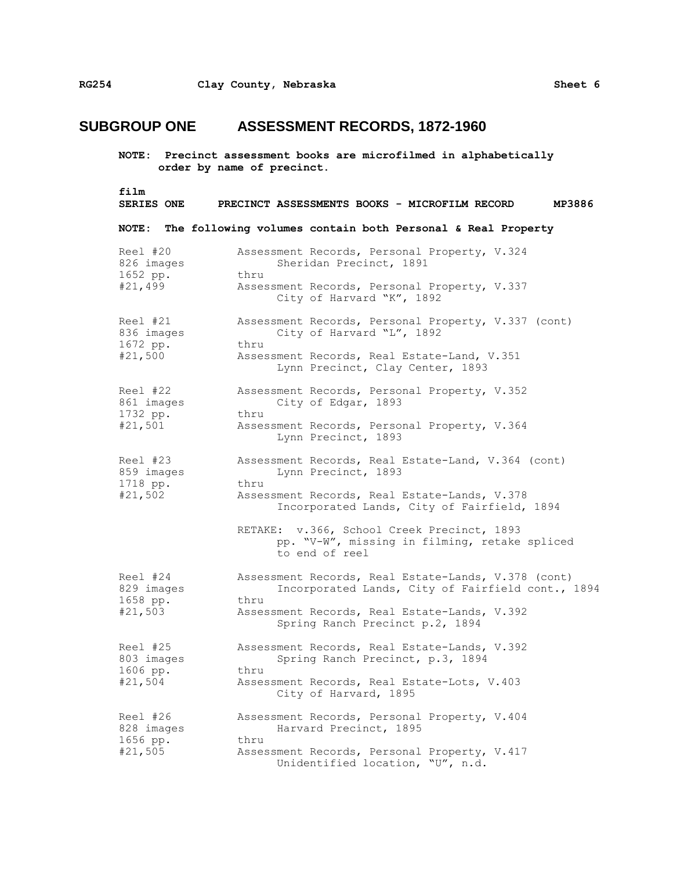**NOTE: Precinct assessment books are microfilmed in alphabetically order by name of precinct.**

**film SERIES ONE PRECINCT ASSESSMENTS BOOKS - MICROFILM RECORD MP3886 NOTE: The following volumes contain both Personal & Real Property** Reel #20 Assessment Records, Personal Property, V.324 826 images Sheridan Precinct, 1891 1652 pp. thru #21,499 Assessment Records, Personal Property, V.337 City of Harvard "K", 1892 Reel #21 Assessment Records, Personal Property, V.337 (cont) 836 images City of Harvard "L", 1892 1672 pp. thru #21,500 Assessment Records, Real Estate-Land, V.351 Lynn Precinct, Clay Center, 1893 Reel #22 Assessment Records, Personal Property, V.352 861 images City of Edgar, 1893 1732 pp. thru #21,501 Assessment Records, Personal Property, V.364 Lynn Precinct, 1893 Reel #23 Assessment Records, Real Estate-Land, V.364 (cont) 859 images Lynn Precinct, 1893 1718 pp. thru #21,502 Assessment Records, Real Estate-Lands, V.378 Incorporated Lands, City of Fairfield, 1894 RETAKE: v.366, School Creek Precinct, 1893 pp. "V-W", missing in filming, retake spliced to end of reel Reel #24 Assessment Records, Real Estate-Lands, V.378 (cont) 829 images Incorporated Lands, City of Fairfield cont., 1894 1658 pp. thru #21,503 Assessment Records, Real Estate-Lands, V.392 Spring Ranch Precinct p.2, 1894 Reel #25 Assessment Records, Real Estate-Lands, V.392 803 images Spring Ranch Precinct, p.3, 1894 1606 pp. thru #21,504 Assessment Records, Real Estate-Lots, V.403 City of Harvard, 1895 Reel #26 Assessment Records, Personal Property, V.404 828 images Harvard Precinct, 1895 1656 pp. thru #21,505 Assessment Records, Personal Property, V.417 Unidentified location, "U", n.d.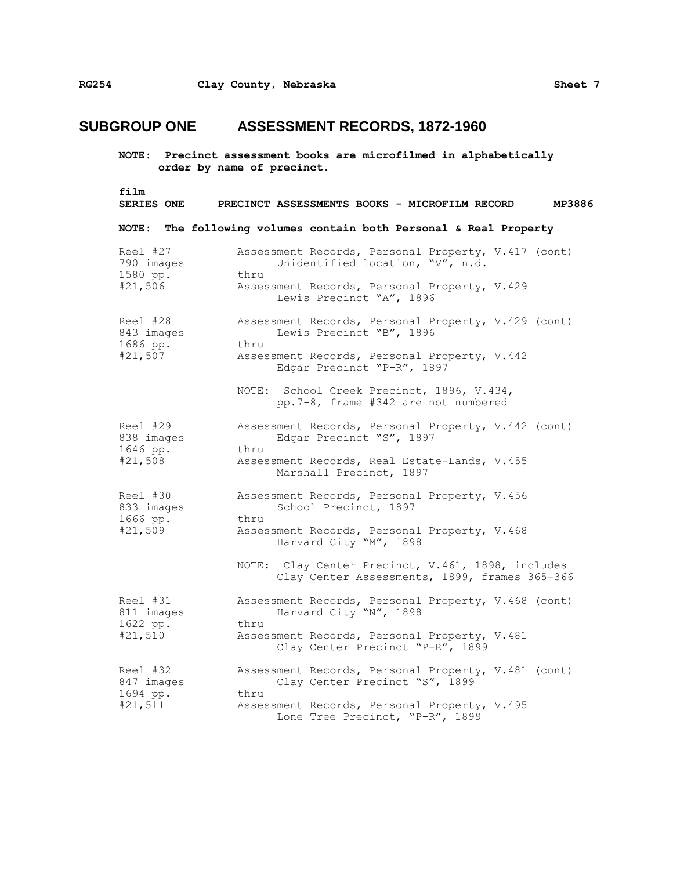| film<br><b>SERIES ONE</b>                     | PRECINCT ASSESSMENTS BOOKS - MICROFILM RECORD<br>MP3886                                                                                                  |
|-----------------------------------------------|----------------------------------------------------------------------------------------------------------------------------------------------------------|
| NOTE:                                         | The following volumes contain both Personal & Real Property                                                                                              |
| Reel #27<br>790 images<br>1580 pp.            | Assessment Records, Personal Property, V.417 (cont)<br>Unidentified location, "V", n.d.<br>thru                                                          |
| #21,506                                       | Assessment Records, Personal Property, V.429<br>Lewis Precinct "A", 1896                                                                                 |
| Reel #28<br>843 images<br>1686 pp.            | Assessment Records, Personal Property, V.429 (cont)<br>Lewis Precinct "B", 1896<br>thru                                                                  |
| #21,507                                       | Assessment Records, Personal Property, V.442<br>Edgar Precinct "P-R", 1897                                                                               |
|                                               | NOTE: School Creek Precinct, 1896, V.434,<br>pp.7-8, frame #342 are not numbered                                                                         |
| Reel #29<br>838 images<br>1646 pp.<br>#21,508 | Assessment Records, Personal Property, V.442 (cont)<br>Edgar Precinct "S", 1897<br>thru<br>Assessment Records, Real Estate-Lands, V.455                  |
| Reel #30<br>833 images<br>1666 pp.<br>#21,509 | Marshall Precinct, 1897<br>Assessment Records, Personal Property, V.456<br>School Precinct, 1897<br>thru<br>Assessment Records, Personal Property, V.468 |
|                                               | Harvard City "M", 1898<br>NOTE: Clay Center Precinct, V.461, 1898, includes<br>Clay Center Assessments, 1899, frames 365-366                             |
| Reel #31<br>811 images                        | Assessment Records, Personal Property, V.468 (cont)<br>Harvard City "N", 1898                                                                            |
| 1622 pp.<br>#21,510                           | thru<br>Assessment Records, Personal Property, V.481<br>Clay Center Precinct "P-R", 1899                                                                 |
| Reel #32<br>847 images                        | Assessment Records, Personal Property, V.481 (cont)<br>Clay Center Precinct "S", 1899                                                                    |
| 1694 pp.<br>#21,511                           | thru<br>Assessment Records, Personal Property, V.495<br>Lone Tree Precinct, "P-R", 1899                                                                  |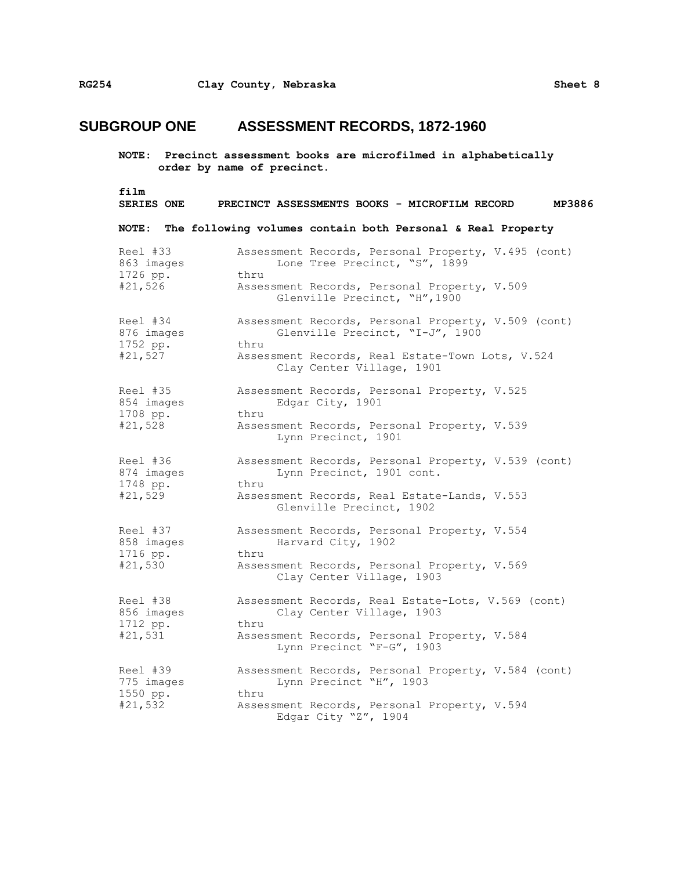| film                | MP3886                                                                            |
|---------------------|-----------------------------------------------------------------------------------|
| <b>SERIES ONE</b>   | PRECINCT ASSESSMENTS BOOKS - MICROFILM RECORD                                     |
| NOTE :              | The following volumes contain both Personal & Real Property                       |
| Reel #33            | Assessment Records, Personal Property, V.495 (cont)                               |
| 863 images          | Lone Tree Precinct, "S", 1899                                                     |
| 1726 pp.            | thru                                                                              |
| #21,526             | Assessment Records, Personal Property, V.509<br>Glenville Precinct, "H", 1900     |
| Reel #34            | Assessment Records, Personal Property, V.509 (cont)                               |
| 876 images          | Glenville Precinct, "I-J", 1900                                                   |
| 1752 pp.            | thru                                                                              |
| #21,527             | Assessment Records, Real Estate-Town Lots, V.524<br>Clay Center Village, 1901     |
| Reel #35            | Assessment Records, Personal Property, V.525                                      |
| 854 images          | Edgar City, 1901                                                                  |
| 1708 pp.            | thru                                                                              |
| #21,528             | Assessment Records, Personal Property, V.539<br>Lynn Precinct, 1901               |
| Reel #36            | Assessment Records, Personal Property, V.539 (cont)                               |
| 874 images          | Lynn Precinct, 1901 cont.                                                         |
| 1748 pp.            | thru                                                                              |
| #21,529             | Assessment Records, Real Estate-Lands, V.553<br>Glenville Precinct, 1902          |
| Reel #37            | Assessment Records, Personal Property, V.554                                      |
| 858 images          | Harvard City, 1902                                                                |
| 1716 pp.<br>#21,530 | thru<br>Assessment Records, Personal Property, V.569<br>Clay Center Village, 1903 |
| Reel #38            | Assessment Records, Real Estate-Lots, V.569 (cont)                                |
| 856 images          | Clay Center Village, 1903                                                         |
| 1712 pp.<br>#21,531 | thru<br>Assessment Records, Personal Property, V.584<br>Lynn Precinct "F-G", 1903 |
| Reel #39            | Assessment Records, Personal Property, V.584 (cont)                               |
| 775 images          | Lynn Precinct "H", 1903                                                           |
| 1550 pp.<br>#21,532 | thru<br>Assessment Records, Personal Property, V.594<br>Edgar City "Z", 1904      |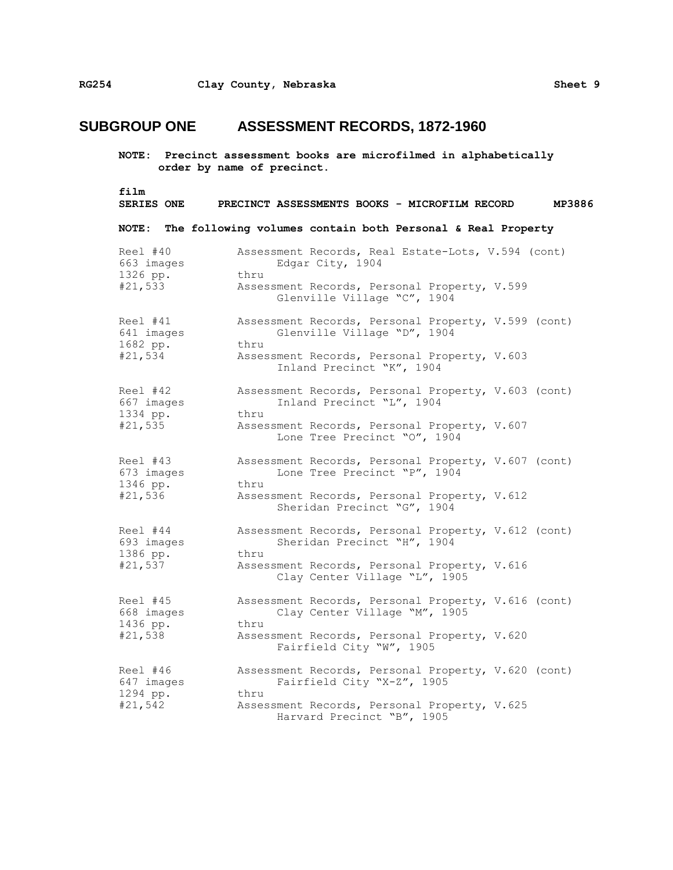**NOTE: Precinct assessment books are microfilmed in alphabetically order by name of precinct. film SERIES ONE PRECINCT ASSESSMENTS BOOKS - MICROFILM RECORD MP3886 NOTE: The following volumes contain both Personal & Real Property** Reel #40 Assessment Records, Real Estate-Lots, V.594 (cont) 663 images Edgar City, 1904 1326 pp. thru #21,533 Assessment Records, Personal Property, V.599 Glenville Village "C", 1904 Reel #41 Assessment Records, Personal Property, V.599 (cont) 641 images Glenville Village "D", 1904 1682 pp. thru #21,534 Assessment Records, Personal Property, V.603 Inland Precinct "K", 1904 Reel #42 Assessment Records, Personal Property, V.603 (cont) 667 images Inland Precinct "L", 1904 1334 pp. thru #21,535 Assessment Records, Personal Property, V.607 Lone Tree Precinct "O", 1904 Reel #43 Assessment Records, Personal Property, V.607 (cont) 673 images Lone Tree Precinct "P", 1904 1346 pp. thru #21,536 Assessment Records, Personal Property, V.612 Sheridan Precinct "G", 1904 Reel #44 Assessment Records, Personal Property, V.612 (cont) 693 images Sheridan Precinct "H", 1904 1386 pp. thru #21,537 Assessment Records, Personal Property, V.616 Clay Center Village "L", 1905 Reel #45 Assessment Records, Personal Property, V.616 (cont) 668 images Clay Center Village "M", 1905 1436 pp. thru #21,538 Assessment Records, Personal Property, V.620 Fairfield City "W", 1905 Reel #46 Assessment Records, Personal Property, V.620 (cont)<br>647 images Fairfield City "X-Z", 1905 Fairfield City "X-Z", 1905 1294 pp. thru #21,542 Assessment Records, Personal Property, V.625 Harvard Precinct "B", 1905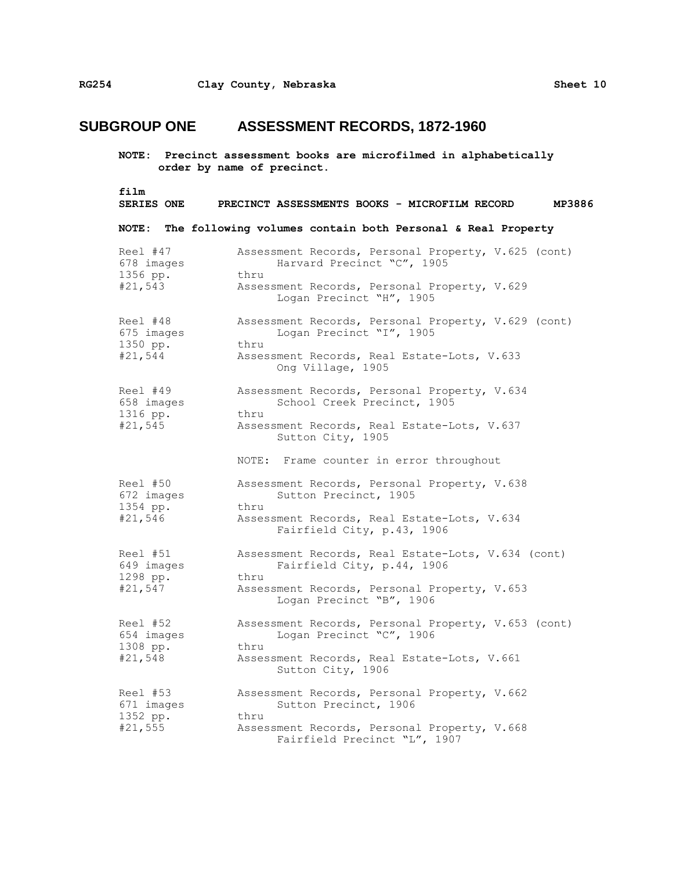| film<br><b>SERIES ONE</b>                     | MP3886<br>PRECINCT ASSESSMENTS BOOKS - MICROFILM RECORD                                                                                                                                            |
|-----------------------------------------------|----------------------------------------------------------------------------------------------------------------------------------------------------------------------------------------------------|
| <b>NOTE :</b>                                 | The following volumes contain both Personal & Real Property                                                                                                                                        |
| Reel #47<br>678 images<br>1356 pp.<br>#21,543 | Assessment Records, Personal Property, V.625 (cont)<br>Harvard Precinct "C", 1905<br>thru<br>Assessment Records, Personal Property, V.629<br>Logan Precinct "H", 1905                              |
| Reel #48<br>675 images<br>1350 pp.<br>#21,544 | Assessment Records, Personal Property, V.629 (cont)<br>Logan Precinct "I", 1905<br>thru<br>Assessment Records, Real Estate-Lots, V.633<br>Ong Village, 1905                                        |
| Reel #49<br>658 images<br>1316 pp.<br>#21,545 | Assessment Records, Personal Property, V.634<br>School Creek Precinct, 1905<br>thru<br>Assessment Records, Real Estate-Lots, V.637<br>Sutton City, 1905<br>NOTE: Frame counter in error throughout |
| Reel #50<br>672 images<br>1354 pp.<br>#21,546 | Assessment Records, Personal Property, V.638<br>Sutton Precinct, 1905<br>thru<br>Assessment Records, Real Estate-Lots, V.634<br>Fairfield City, p.43, 1906                                         |
| Reel #51<br>649 images<br>1298 pp.<br>#21,547 | Assessment Records, Real Estate-Lots, V.634 (cont)<br>Fairfield City, p.44, 1906<br>thru<br>Assessment Records, Personal Property, V.653<br>Logan Precinct "B", 1906                               |
| Reel #52<br>654 images<br>1308 pp.<br>#21,548 | Assessment Records, Personal Property, V.653 (cont)<br>Logan Precinct "C", 1906<br>thru<br>Assessment Records, Real Estate-Lots, V.661<br>Sutton City, 1906                                        |
| Reel #53<br>671 images<br>1352 pp.<br>#21,555 | Assessment Records, Personal Property, V.662<br>Sutton Precinct, 1906<br>thru<br>Assessment Records, Personal Property, V.668<br>Fairfield Precinct "L", 1907                                      |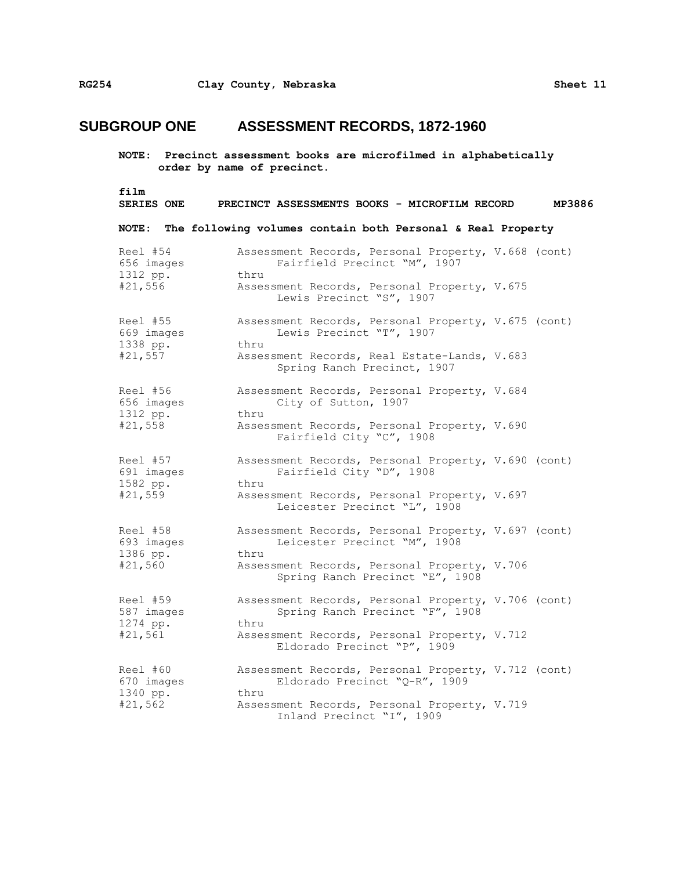| film                   | MP3886                                                                                  |
|------------------------|-----------------------------------------------------------------------------------------|
| <b>SERIES ONE</b>      | PRECINCT ASSESSMENTS BOOKS - MICROFILM RECORD                                           |
| NOTE:                  | The following volumes contain both Personal & Real Property                             |
| Reel #54               | Assessment Records, Personal Property, V.668 (cont)                                     |
| 656 images             | Fairfield Precinct "M", 1907                                                            |
| 1312 pp.               | thru                                                                                    |
| #21,556                | Assessment Records, Personal Property, V.675<br>Lewis Precinct "S", 1907                |
| Reel #55               | Assessment Records, Personal Property, V.675 (cont)                                     |
| 669 images             | Lewis Precinct "T", 1907                                                                |
| 1338 pp.<br>#21,557    | thru<br>Assessment Records, Real Estate-Lands, V.683<br>Spring Ranch Precinct, 1907     |
| Reel #56<br>656 images | Assessment Records, Personal Property, V.684<br>City of Sutton, 1907<br>thru            |
| 1312 pp.               | Assessment Records, Personal Property, V.690                                            |
| #21,558                | Fairfield City "C", 1908                                                                |
| Reel #57               | Assessment Records, Personal Property, V.690 (cont)                                     |
| 691 images             | Fairfield City "D", 1908                                                                |
| 1582 pp.<br>#21,559    | thru<br>Assessment Records, Personal Property, V.697<br>Leicester Precinct "L", 1908    |
| Reel #58               | Assessment Records, Personal Property, V.697 (cont)                                     |
| 693 images             | Leicester Precinct "M", 1908                                                            |
| 1386 pp.<br>#21,560    | thru<br>Assessment Records, Personal Property, V.706<br>Spring Ranch Precinct "E", 1908 |
| Reel #59               | Assessment Records, Personal Property, V.706 (cont)                                     |
| 587 images             | Spring Ranch Precinct "F", 1908                                                         |
| 1274 pp.<br>#21,561    | thru<br>Assessment Records, Personal Property, V.712<br>Eldorado Precinct "P", 1909     |
| Reel #60               | Assessment Records, Personal Property, V.712 (cont)                                     |
| 670 images             | Eldorado Precinct "Q-R", 1909                                                           |
| 1340 pp.<br>#21,562    | thru<br>Assessment Records, Personal Property, V.719<br>Inland Precinct "I", 1909       |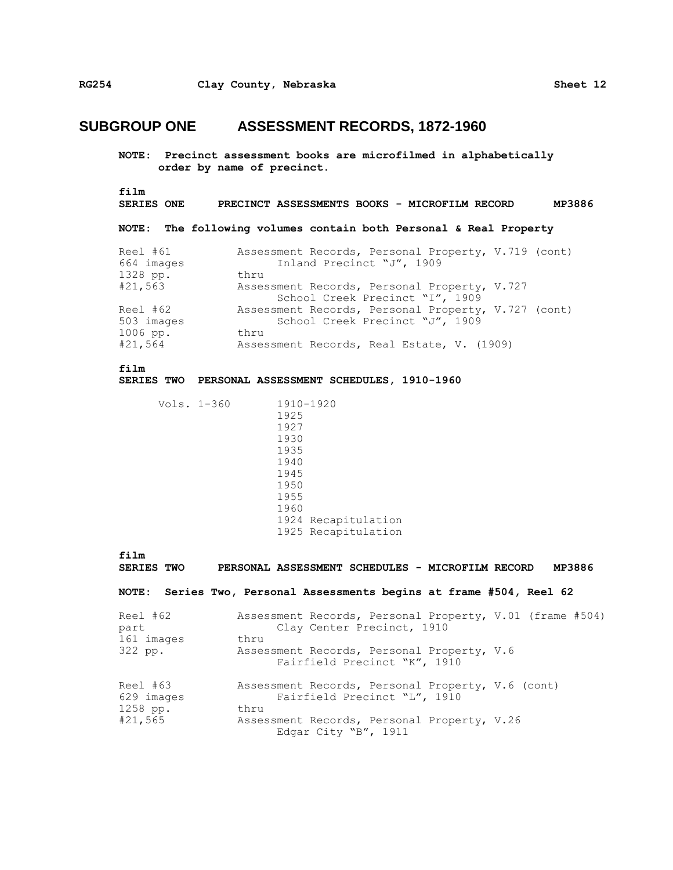**NOTE: Precinct assessment books are microfilmed in alphabetically order by name of precinct.**

```
film
```

```
SERIES ONE PRECINCT ASSESSMENTS BOOKS - MICROFILM RECORD MP3886
```
**NOTE: The following volumes contain both Personal & Real Property**

| Reel #61   | Assessment Records, Personal Property, V.719 (cont) |
|------------|-----------------------------------------------------|
| 664 images | Inland Precinct "J", 1909                           |
| 1328 pp.   | thru                                                |
| #21,563    | Assessment Records, Personal Property, V.727        |
|            | School Creek Precinct "I", 1909                     |
| Reel #62   | Assessment Records, Personal Property, V.727 (cont) |
| 503 images | School Creek Precinct "J", 1909                     |
| 1006 pp.   | thru                                                |
| #21,564    | Assessment Records, Real Estate, V. (1909)          |

```
film
```
#### **SERIES TWO PERSONAL ASSESSMENT SCHEDULES, 1910-1960**

| Vols. 1-360 |      | 1910-1920           |
|-------------|------|---------------------|
|             | 1925 |                     |
|             | 1927 |                     |
|             | 1930 |                     |
|             | 1935 |                     |
|             | 1940 |                     |
|             | 1945 |                     |
|             | 1950 |                     |
|             | 1955 |                     |
|             | 1960 |                     |
|             |      | 1924 Recapitulation |
|             |      | 1925 Recapitulation |
|             |      |                     |

film<br>SERIES TWO **SERIES TWO PERSONAL ASSESSMENT SCHEDULES - MICROFILM RECORD MP3886**

#### **NOTE: Series Two, Personal Assessments begins at frame #504, Reel 62**

| Reel #62<br>part                   | Assessment Records, Personal Property, V.01 (frame #504)<br>Clay Center Precinct, 1910    |
|------------------------------------|-------------------------------------------------------------------------------------------|
| 161 images                         | thru                                                                                      |
| 322 pp.                            | Assessment Records, Personal Property, V.6<br>Fairfield Precinct "K", 1910                |
| Reel #63<br>629 images<br>1258 pp. | Assessment Records, Personal Property, V.6 (cont)<br>Fairfield Precinct "L", 1910<br>thru |
| #21,565                            | Assessment Records, Personal Property, V.26<br>Edgar City "B", 1911                       |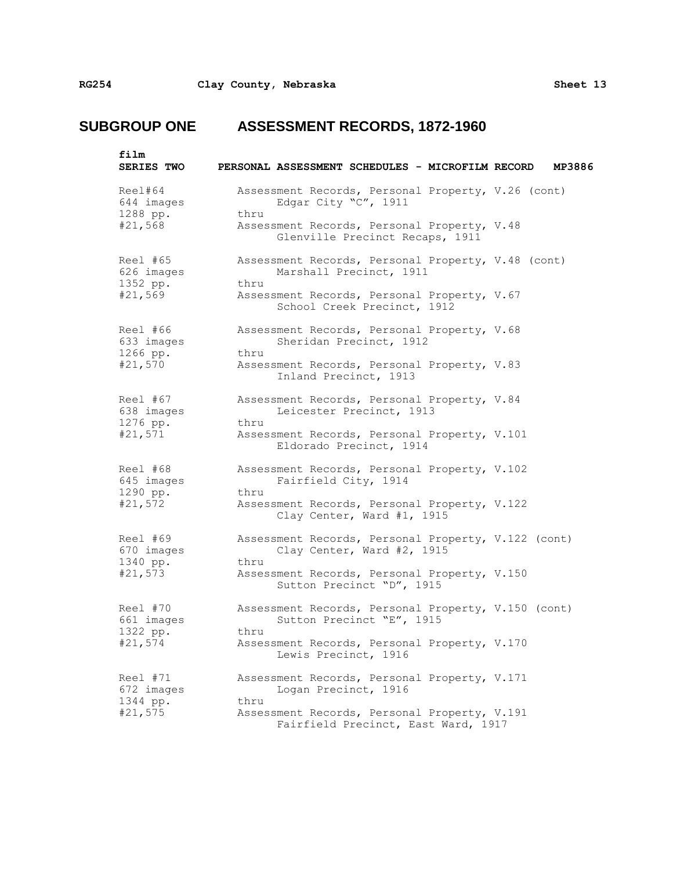| film<br><b>SERIES TWO</b>                     | MP3886<br>PERSONAL ASSESSMENT SCHEDULES - MICROFILM RECORD                                  |
|-----------------------------------------------|---------------------------------------------------------------------------------------------|
| Reel#64<br>644 images<br>1288 pp.             | Assessment Records, Personal Property, V.26 (cont)<br>Edgar City "C", 1911<br>thru          |
| #21,568                                       | Assessment Records, Personal Property, V.48<br>Glenville Precinct Recaps, 1911              |
| Reel #65<br>626 images<br>1352 pp.            | Assessment Records, Personal Property, V.48 (cont)<br>Marshall Precinct, 1911<br>thru       |
| #21,569                                       | Assessment Records, Personal Property, V.67<br>School Creek Precinct, 1912                  |
| Reel #66<br>633 images<br>1266 pp.            | Assessment Records, Personal Property, V.68<br>Sheridan Precinct, 1912<br>thru              |
| #21,570                                       | Assessment Records, Personal Property, V.83<br>Inland Precinct, 1913                        |
| Reel #67<br>638 images<br>1276 pp.            | Assessment Records, Personal Property, V.84<br>Leicester Precinct, 1913<br>thru             |
| #21,571                                       | Assessment Records, Personal Property, V.101<br>Eldorado Precinct, 1914                     |
| Reel #68<br>645 images                        | Assessment Records, Personal Property, V.102<br>Fairfield City, 1914<br>thru                |
| 1290 pp.<br>#21,572                           | Assessment Records, Personal Property, V.122<br>Clay Center, Ward #1, 1915                  |
| Reel #69<br>670 images<br>1340 pp.<br>#21,573 | Assessment Records, Personal Property, V.122 (cont)<br>Clay Center, Ward #2, 1915<br>thru   |
|                                               | Assessment Records, Personal Property, V.150<br>Sutton Precinct "D", 1915                   |
| Reel #70<br>661 images                        | Assessment Records, Personal Property, V.150 (cont)<br>Sutton Precinct "E", 1915<br>thru    |
| 1322 pp.<br>#21,574                           | Assessment Records, Personal Property, V.170<br>Lewis Precinct, 1916                        |
| Reel #71<br>672 images                        | Assessment Records, Personal Property, V.171<br>Logan Precinct, 1916                        |
| 1344 pp.<br>#21,575                           | thru<br>Assessment Records, Personal Property, V.191<br>Fairfield Precinct, East Ward, 1917 |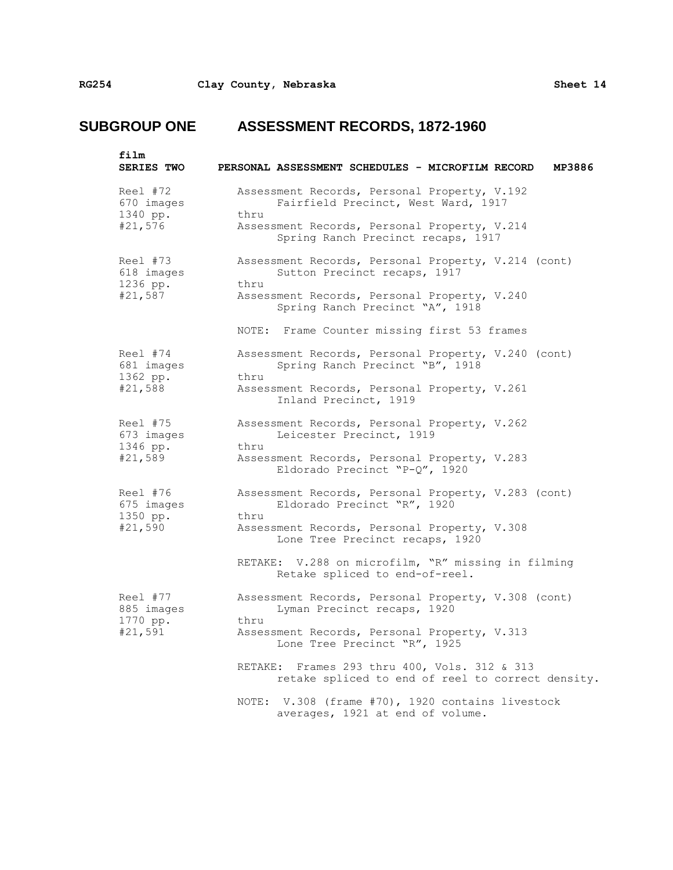| film<br><b>SERIES TWO</b>                     | PERSONAL ASSESSMENT SCHEDULES - MICROFILM RECORD<br>MP3886                                                                                                                                                                                                                                                                                                                 |
|-----------------------------------------------|----------------------------------------------------------------------------------------------------------------------------------------------------------------------------------------------------------------------------------------------------------------------------------------------------------------------------------------------------------------------------|
| Reel #72<br>670 images<br>1340 pp.<br>#21,576 | Assessment Records, Personal Property, V.192<br>Fairfield Precinct, West Ward, 1917<br>thru<br>Assessment Records, Personal Property, V.214<br>Spring Ranch Precinct recaps, 1917                                                                                                                                                                                          |
| Reel #73<br>618 images<br>1236 pp.<br>#21,587 | Assessment Records, Personal Property, V.214 (cont)<br>Sutton Precinct recaps, 1917<br>thru<br>Assessment Records, Personal Property, V.240<br>Spring Ranch Precinct "A", 1918<br>NOTE: Frame Counter missing first 53 frames                                                                                                                                              |
| Reel #74<br>681 images<br>1362 pp.<br>#21,588 | Assessment Records, Personal Property, V.240 (cont)<br>Spring Ranch Precinct "B", 1918<br>thru<br>Assessment Records, Personal Property, V.261<br>Inland Precinct, 1919                                                                                                                                                                                                    |
| Reel #75<br>673 images<br>1346 pp.<br>#21,589 | Assessment Records, Personal Property, V.262<br>Leicester Precinct, 1919<br>thru<br>Assessment Records, Personal Property, V.283<br>Eldorado Precinct "P-Q", 1920                                                                                                                                                                                                          |
| Reel #76<br>675 images<br>1350 pp.<br>#21,590 | Assessment Records, Personal Property, V.283 (cont)<br>Eldorado Precinct "R", 1920<br>thru<br>Assessment Records, Personal Property, V.308<br>Lone Tree Precinct recaps, 1920<br>RETAKE: V.288 on microfilm, "R" missing in filming<br>Retake spliced to end-of-reel.                                                                                                      |
| Reel #77<br>885 images<br>1770 pp.<br>#21,591 | Assessment Records, Personal Property, V.308 (cont)<br>Lyman Precinct recaps, 1920<br>thru<br>Assessment Records, Personal Property, V.313<br>Lone Tree Precinct "R", 1925<br>Frames 293 thru 400, Vols. 312 & 313<br>RETAKE:<br>retake spliced to end of reel to correct density.<br>NOTE: V.308 (frame #70), 1920 contains livestock<br>averages, 1921 at end of volume. |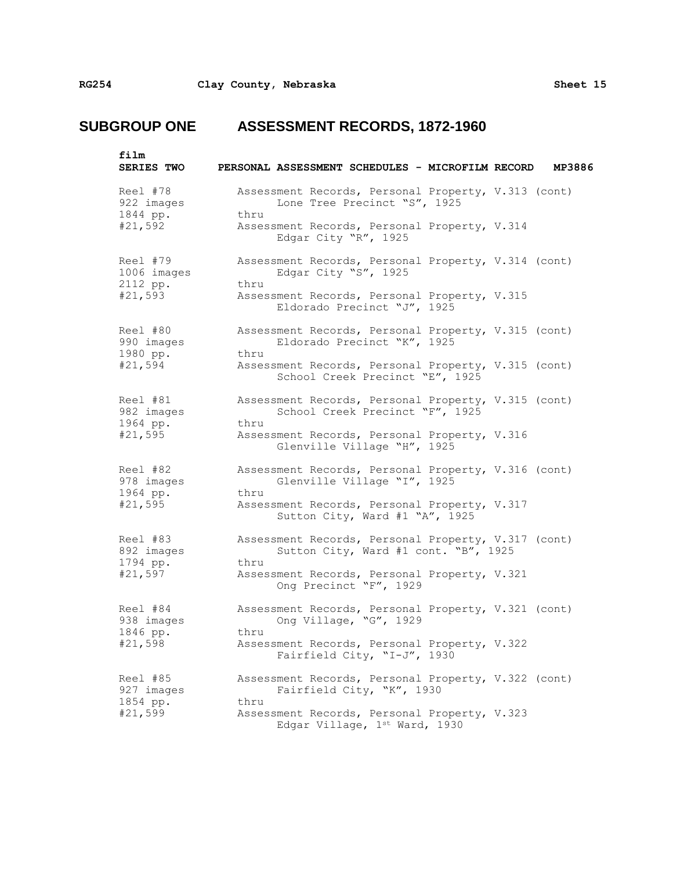| film<br><b>SERIES TWO</b>                      | PERSONAL ASSESSMENT SCHEDULES - MICROFILM RECORD<br>MP3886                                          |
|------------------------------------------------|-----------------------------------------------------------------------------------------------------|
| Reel #78<br>922 images<br>1844 pp.             | Assessment Records, Personal Property, V.313 (cont)<br>Lone Tree Precinct "S", 1925<br>thru         |
| #21,592                                        | Assessment Records, Personal Property, V.314<br>Edgar City "R", 1925                                |
| Reel #79<br>1006 images<br>2112 pp.<br>#21,593 | Assessment Records, Personal Property, V.314 (cont)<br>Edgar City "S", 1925<br>thru                 |
|                                                | Assessment Records, Personal Property, V.315<br>Eldorado Precinct "J", 1925                         |
| Reel #80<br>990 images<br>1980 pp.             | Assessment Records, Personal Property, V.315 (cont)<br>Eldorado Precinct "K", 1925<br>thru          |
| #21,594                                        | Assessment Records, Personal Property, V.315 (cont)<br>School Creek Precinct "E", 1925              |
| Reel #81<br>982 images<br>1964 pp.             | Assessment Records, Personal Property, V.315 (cont)<br>School Creek Precinct "F", 1925<br>thru      |
| #21,595                                        | Assessment Records, Personal Property, V.316<br>Glenville Village "H", 1925                         |
| Reel #82<br>978 images<br>1964 pp.             | Assessment Records, Personal Property, V.316 (cont)<br>Glenville Village "I", 1925<br>thru          |
| #21,595                                        | Assessment Records, Personal Property, V.317<br>Sutton City, Ward #1 "A", 1925                      |
| Reel #83<br>892 images<br>1794 pp.<br>#21,597  | Assessment Records, Personal Property, V.317 (cont)<br>Sutton City, Ward #1 cont. "B", 1925<br>thru |
|                                                | Assessment Records, Personal Property, V.321<br>Ong Precinct "F", 1929                              |
| Reel #84<br>938 images                         | Assessment Records, Personal Property, V.321 (cont)<br>Ong Village, "G", 1929<br>thru               |
| 1846 pp.<br>#21,598                            | Assessment Records, Personal Property, V.322<br>Fairfield City, "I-J", 1930                         |
| Reel #85<br>927 images                         | Assessment Records, Personal Property, V.322 (cont)<br>Fairfield City, "K", 1930                    |
| 1854 pp.<br>#21,599                            | thru<br>Assessment Records, Personal Property, V.323<br>Edgar Village, 1st Ward, 1930               |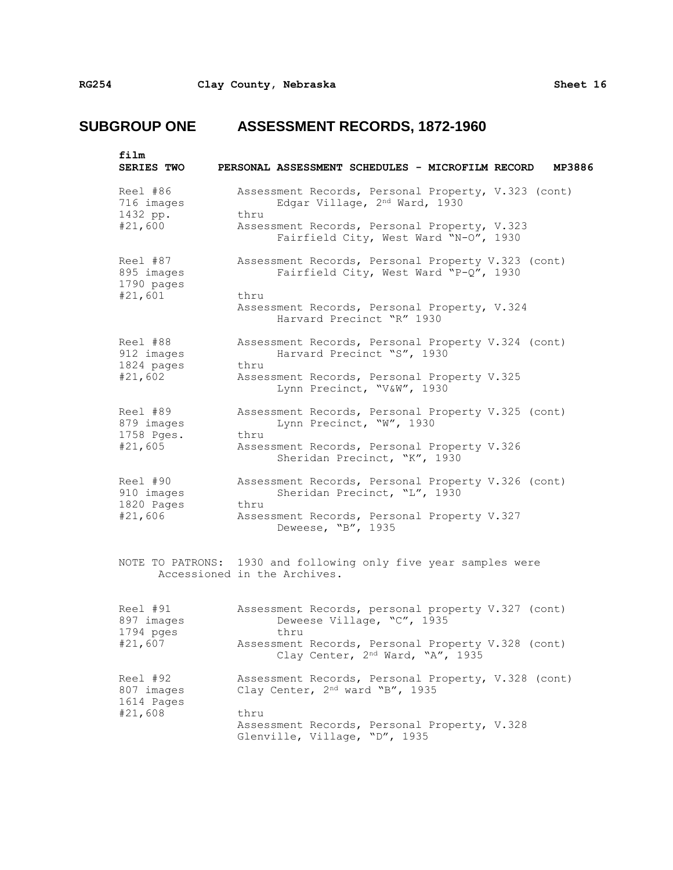| film<br><b>SERIES TWO</b>                       | PERSONAL ASSESSMENT SCHEDULES - MICROFILM RECORD<br>MP3886                                                                                   |
|-------------------------------------------------|----------------------------------------------------------------------------------------------------------------------------------------------|
| Reel #86<br>716 images<br>1432 pp.<br>#21,600   | Assessment Records, Personal Property, V.323 (cont)<br>Edgar Village, 2nd Ward, 1930<br>thru<br>Assessment Records, Personal Property, V.323 |
|                                                 | Fairfield City, West Ward "N-O", 1930                                                                                                        |
| Reel #87<br>895 images<br>1790 pages<br>#21,601 | Assessment Records, Personal Property V.323 (cont)<br>Fairfield City, West Ward "P-Q", 1930<br>thru                                          |
|                                                 | Assessment Records, Personal Property, V.324<br>Harvard Precinct "R" 1930                                                                    |
| Reel #88<br>912 images<br>1824 pages            | Assessment Records, Personal Property V.324 (cont)<br>Harvard Precinct "S", 1930<br>thru                                                     |
| #21,602                                         | Assessment Records, Personal Property V.325<br>Lynn Precinct, "V&W", 1930                                                                    |
| Reel #89<br>879 images<br>1758 Pges.            | Assessment Records, Personal Property V.325 (cont)<br>Lynn Precinct, "W", 1930<br>thru                                                       |
| #21,605                                         | Assessment Records, Personal Property V.326<br>Sheridan Precinct, "K", 1930                                                                  |
| Reel #90<br>910 images<br>1820 Pages            | Assessment Records, Personal Property V.326 (cont)<br>Sheridan Precinct, "L", 1930<br>thru                                                   |
| #21,606                                         | Assessment Records, Personal Property V.327<br>Deweese, "B", 1935                                                                            |
|                                                 | NOTE TO PATRONS: 1930 and following only five year samples were<br>Accessioned in the Archives.                                              |
| Reel #91<br>897 images<br>1794 pges             | Assessment Records, personal property V.327 (cont)<br>Deweese Village, "C", 1935<br>thru                                                     |
| #21,607                                         | Assessment Records, Personal Property V.328 (cont)<br>Clay Center, 2nd Ward, "A", 1935                                                       |
| Reel #92<br>807 images<br>1614 Pages            | Assessment Records, Personal Property, V.328 (cont)<br>Clay Center, 2nd ward "B", 1935                                                       |
| #21,608                                         | thru                                                                                                                                         |
|                                                 | Assessment Records, Personal Property, V.328<br>Glenville, Village, "D", 1935                                                                |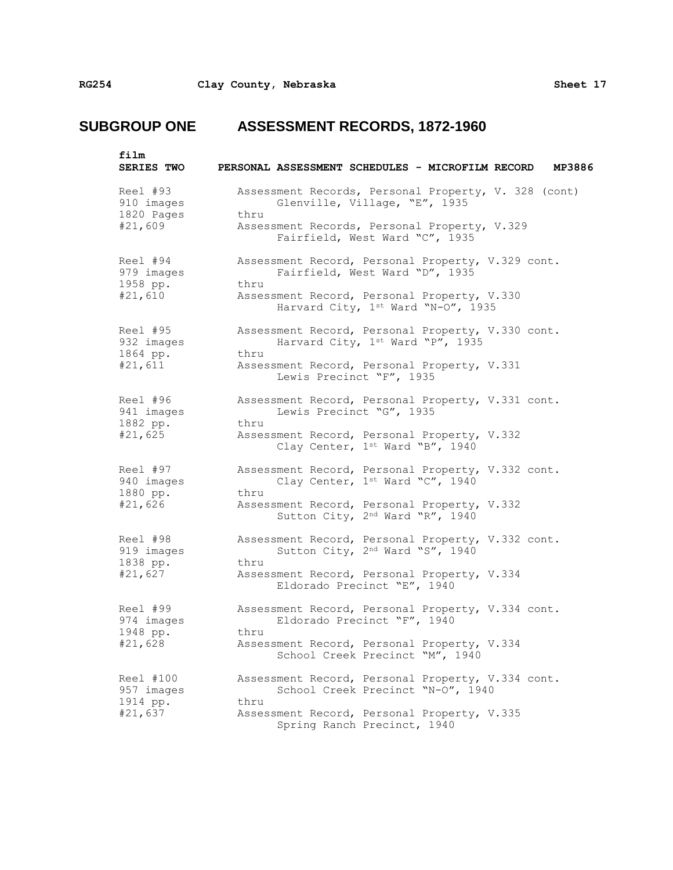| film<br><b>SERIES TWO</b>                       | PERSONAL ASSESSMENT SCHEDULES - MICROFILM RECORD<br>MP3886                                                                                                                             |
|-------------------------------------------------|----------------------------------------------------------------------------------------------------------------------------------------------------------------------------------------|
| Reel #93<br>910 images<br>1820 Pages<br>#21,609 | Assessment Records, Personal Property, V. 328 (cont)<br>Glenville, Village, "E", 1935<br>thru<br>Assessment Records, Personal Property, V.329<br>Fairfield, West Ward "C", 1935        |
| Reel #94<br>979 images<br>1958 pp.<br>#21,610   | Assessment Record, Personal Property, V.329 cont.<br>Fairfield, West Ward "D", 1935<br>thru<br>Assessment Record, Personal Property, V.330<br>Harvard City, 1st Ward "N-O", 1935       |
| Reel #95<br>932 images<br>1864 pp.<br>#21,611   | Assessment Record, Personal Property, V.330 cont.<br>Harvard City, 1st Ward "P", 1935<br>thru<br>Assessment Record, Personal Property, V.331<br>Lewis Precinct "F", 1935               |
| Reel #96<br>941 images<br>1882 pp.<br>#21,625   | Assessment Record, Personal Property, V.331 cont.<br>Lewis Precinct "G", 1935<br>thru<br>Assessment Record, Personal Property, V.332<br>Clay Center, 1st Ward "B", 1940                |
| Reel #97<br>940 images<br>1880 pp.<br>#21,626   | Assessment Record, Personal Property, V.332 cont.<br>Clay Center, 1st Ward "C", 1940<br>thru<br>Assessment Record, Personal Property, V.332<br>Sutton City, 2nd Ward "R", 1940         |
| Reel #98<br>919 images<br>1838 pp.<br>#21,627   | Assessment Record, Personal Property, V.332 cont.<br>Sutton City, 2 <sup>nd</sup> Ward "S", 1940<br>thru<br>Assessment Record, Personal Property, V.334<br>Eldorado Precinct "E", 1940 |
| Reel #99<br>974 images<br>1948 pp.<br>#21,628   | Assessment Record, Personal Property, V.334 cont.<br>Eldorado Precinct "F", 1940<br>thru<br>Assessment Record, Personal Property, V.334<br>School Creek Precinct "M", 1940             |
| Reel #100<br>957 images<br>1914 pp.<br>#21,637  | Assessment Record, Personal Property, V.334 cont.<br>School Creek Precinct "N-0", 1940<br>thru<br>Assessment Record, Personal Property, V.335<br>Spring Ranch Precinct, 1940           |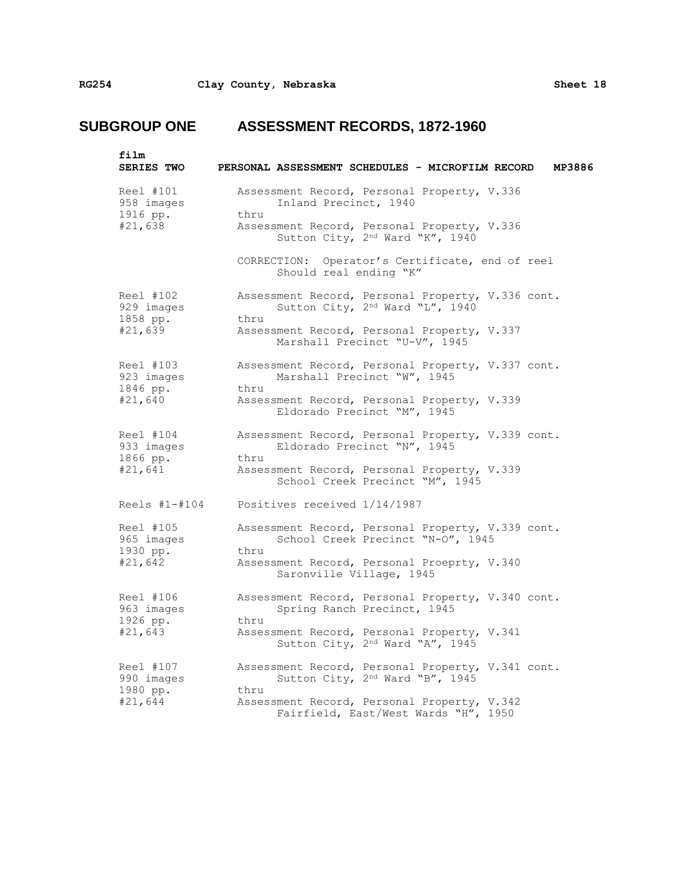| film<br><b>SERIES TWO</b>                      | PERSONAL ASSESSMENT SCHEDULES - MICROFILM RECORD<br>MP3886                                                                  |
|------------------------------------------------|-----------------------------------------------------------------------------------------------------------------------------|
| Reel #101<br>958 images<br>1916 pp.<br>#21,638 | Assessment Record, Personal Property, V.336<br>Inland Precinct, 1940<br>thru<br>Assessment Record, Personal Property, V.336 |
|                                                | Sutton City, 2nd Ward "K", 1940<br>CORRECTION: Operator's Certificate, end of reel<br>Should real ending "K"                |
|                                                |                                                                                                                             |
| Reel #102<br>929 images<br>1858 pp.            | Assessment Record, Personal Property, V.336 cont.<br>Sutton City, 2nd Ward "L", 1940<br>thru                                |
| #21,639                                        | Assessment Record, Personal Property, V.337<br>Marshall Precinct "U-V", 1945                                                |
| Reel #103<br>923 images<br>1846 pp.<br>#21,640 | Assessment Record, Personal Property, V.337 cont.<br>Marshall Precinct "W", 1945<br>thru                                    |
|                                                | Assessment Record, Personal Property, V.339<br>Eldorado Precinct "M", 1945                                                  |
| Reel #104<br>933 images<br>1866 pp.            | Assessment Record, Personal Property, V.339 cont.<br>Eldorado Precinct "N", 1945<br>thru                                    |
| #21,641                                        | Assessment Record, Personal Property, V.339<br>School Creek Precinct "M", 1945                                              |
| Reels $#1 - #104$                              | Positives received 1/14/1987                                                                                                |
| Reel #105<br>965 images<br>1930 pp.<br>#21,642 | Assessment Record, Personal Property, V.339 cont.<br>School Creek Precinct "N-O", 1945<br>thru                              |
|                                                | Assessment Record, Personal Proeprty, V.340<br>Saronville Village, 1945                                                     |
| Reel #106<br>963 images<br>1926 pp.<br>#21,643 | Assessment Record, Personal Property, V.340 cont.<br>Spring Ranch Precinct, 1945<br>thru                                    |
|                                                | Assessment Record, Personal Property, V.341<br>Sutton City, 2nd Ward "A", 1945                                              |
| Reel #107<br>990 images<br>1980 pp.            | Assessment Record, Personal Property, V.341 cont.<br>Sutton City, 2nd Ward "B", 1945<br>thru                                |
| #21,644                                        | Assessment Record, Personal Property, V.342<br>Fairfield, East/West Wards "H", 1950                                         |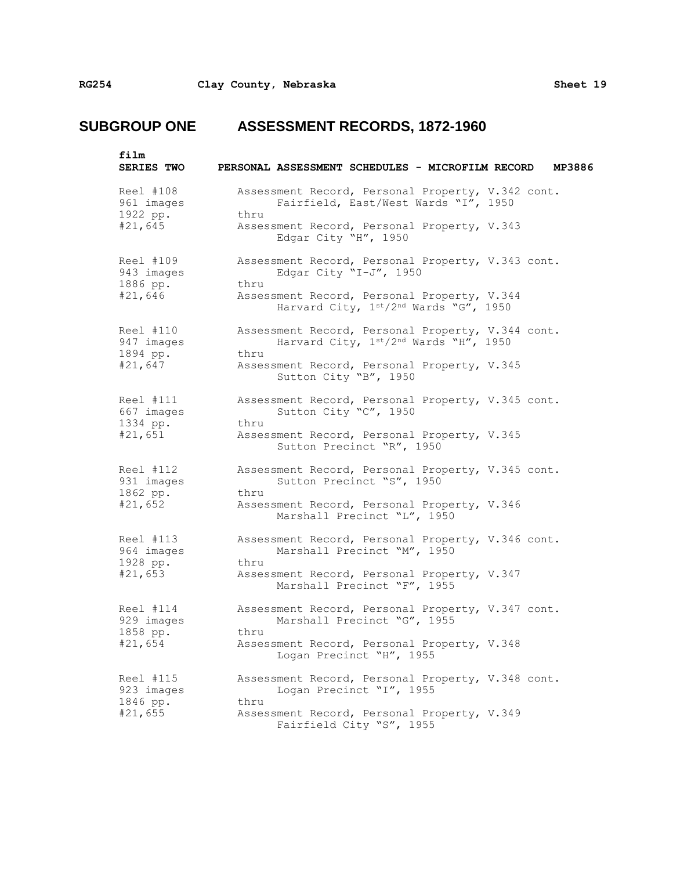| film<br>SERIES TWO                             | PERSONAL ASSESSMENT SCHEDULES - MICROFILM RECORD                                                                                                 | MP3886 |
|------------------------------------------------|--------------------------------------------------------------------------------------------------------------------------------------------------|--------|
| Reel #108<br>961 images<br>1922 pp.<br>#21,645 | Assessment Record, Personal Property, V.342 cont.<br>Fairfield, East/West Wards "I", 1950<br>thru<br>Assessment Record, Personal Property, V.343 |        |
| Reel #109                                      | Edgar City "H", 1950<br>Assessment Record, Personal Property, V.343 cont.                                                                        |        |
| 943 images<br>1886 pp.<br>#21,646              | Edgar City "I-J", 1950<br>thru<br>Assessment Record, Personal Property, V.344                                                                    |        |
|                                                | Harvard City, 1st/2nd Wards "G", 1950                                                                                                            |        |
| Reel #110<br>947 images<br>1894 pp.            | Assessment Record, Personal Property, V.344 cont.<br>Harvard City, 1st/2nd Wards "H", 1950<br>thru                                               |        |
| #21,647                                        | Assessment Record, Personal Property, V.345<br>Sutton City "B", 1950                                                                             |        |
| Reel #111<br>667 images<br>1334 pp.            | Assessment Record, Personal Property, V.345 cont.<br>Sutton City "C", 1950<br>thru                                                               |        |
| #21,651                                        | Assessment Record, Personal Property, V.345<br>Sutton Precinct "R", 1950                                                                         |        |
| Reel #112<br>931 images<br>1862 pp.            | Assessment Record, Personal Property, V.345 cont.<br>Sutton Precinct "S", 1950<br>thru                                                           |        |
| #21,652                                        | Assessment Record, Personal Property, V.346<br>Marshall Precinct "L", 1950                                                                       |        |
| Reel #113<br>964 images<br>1928 pp.            | Assessment Record, Personal Property, V.346 cont.<br>Marshall Precinct "M", 1950<br>thru                                                         |        |
| #21,653                                        | Assessment Record, Personal Property, V.347<br>Marshall Precinct "F", 1955                                                                       |        |
| Reel #114<br>929 images<br>1858 pp.            | Assessment Record, Personal Property, V.347 cont.<br>Marshall Precinct "G", 1955<br>thru                                                         |        |
| #21,654                                        | Assessment Record, Personal Property, V.348<br>Logan Precinct "H", 1955                                                                          |        |
| Reel #115<br>923 images<br>1846 pp.            | Assessment Record, Personal Property, V.348 cont.<br>Logan Precinct "I", 1955                                                                    |        |
| #21,655                                        | thru<br>Assessment Record, Personal Property, V.349<br>Fairfield City "S", 1955                                                                  |        |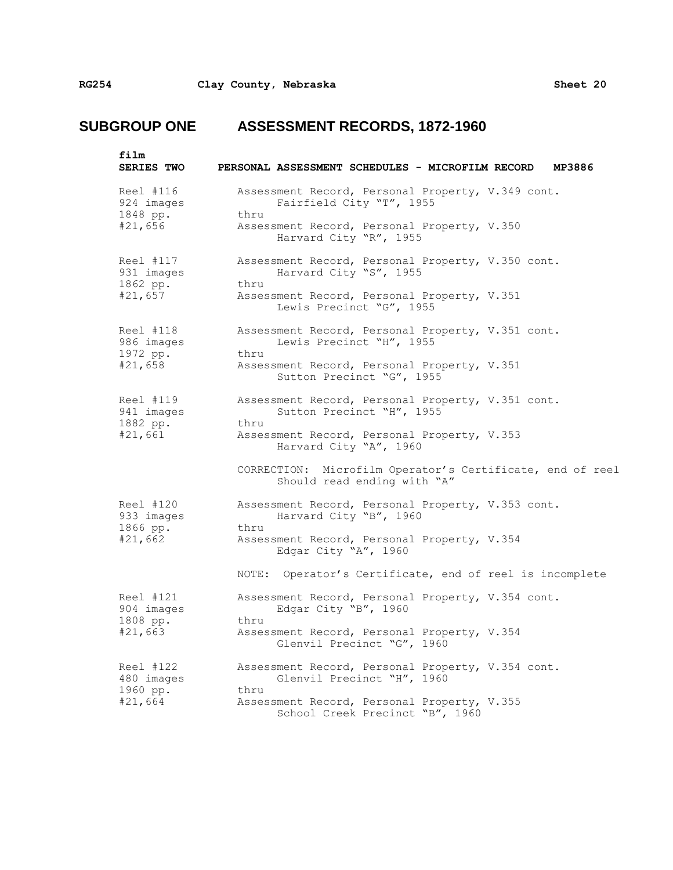| film<br>SERIES TWO                             | PERSONAL ASSESSMENT SCHEDULES - MICROFILM RECORD<br>MP3886                                                                                                                |
|------------------------------------------------|---------------------------------------------------------------------------------------------------------------------------------------------------------------------------|
| Reel #116<br>924 images<br>1848 pp.<br>#21,656 | Assessment Record, Personal Property, V.349 cont.<br>Fairfield City "T", 1955<br>thru<br>Assessment Record, Personal Property, V.350<br>Harvard City "R", 1955            |
| Reel #117<br>931 images<br>1862 pp.<br>#21,657 | Assessment Record, Personal Property, V.350 cont.<br>Harvard City "S", 1955<br>thru<br>Assessment Record, Personal Property, V.351<br>Lewis Precinct "G", 1955            |
| Reel #118<br>986 images<br>1972 pp.<br>#21,658 | Assessment Record, Personal Property, V.351 cont.<br>Lewis Precinct "H", 1955<br>thru<br>Assessment Record, Personal Property, V.351<br>Sutton Precinct "G", 1955         |
| Reel #119<br>941 images<br>1882 pp.<br>#21,661 | Assessment Record, Personal Property, V.351 cont.<br>Sutton Precinct "H", 1955<br>thru<br>Assessment Record, Personal Property, V.353<br>Harvard City "A", 1960           |
|                                                | CORRECTION: Microfilm Operator's Certificate, end of reel<br>Should read ending with "A"                                                                                  |
| Reel #120<br>933 images<br>1866 pp.<br>#21,662 | Assessment Record, Personal Property, V.353 cont.<br>Harvard City "B", 1960<br>thru<br>Assessment Record, Personal Property, V.354<br>Edgar City "A", 1960                |
|                                                | NOTE: Operator's Certificate, end of reel is incomplete                                                                                                                   |
| Reel #121<br>904 images<br>1808 pp.<br>#21,663 | Assessment Record, Personal Property, V.354 cont.<br>Edgar City "B", 1960<br>thru<br>Assessment Record, Personal Property, V.354<br>Glenvil Precinct "G", 1960            |
| Reel #122<br>480 images<br>1960 pp.<br>#21,664 | Assessment Record, Personal Property, V.354 cont.<br>Glenvil Precinct "H", 1960<br>thru<br>Assessment Record, Personal Property, V.355<br>School Creek Precinct "B", 1960 |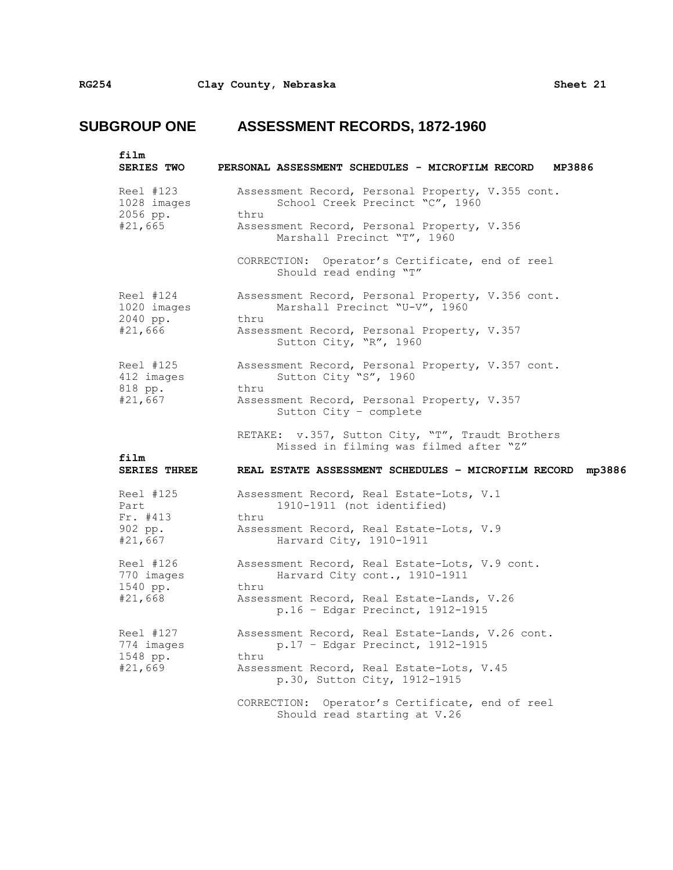| film<br><b>SERIES TWO</b>                           | PERSONAL ASSESSMENT SCHEDULES - MICROFILM RECORD<br>MP3886                                                                                                                                                                    |
|-----------------------------------------------------|-------------------------------------------------------------------------------------------------------------------------------------------------------------------------------------------------------------------------------|
| Reel #123<br>1028 images<br>2056 pp.<br>#21,665     | Assessment Record, Personal Property, V.355 cont.<br>School Creek Precinct "C", 1960<br>thru<br>Assessment Record, Personal Property, V.356<br>Marshall Precinct "T", 1960<br>CORRECTION: Operator's Certificate, end of reel |
| Reel #124<br>1020 images<br>2040 pp.<br>#21,666     | Should read ending "T"<br>Assessment Record, Personal Property, V.356 cont.<br>Marshall Precinct "U-V", 1960<br>thru<br>Assessment Record, Personal Property, V.357<br>Sutton City, "R", 1960                                 |
| Reel #125<br>412 images<br>818 pp.<br>#21,667       | Assessment Record, Personal Property, V.357 cont.<br>Sutton City "S", 1960<br>thru<br>Assessment Record, Personal Property, V.357<br>Sutton City - complete                                                                   |
| film<br><b>SERIES THREE</b>                         | RETAKE: v.357, Sutton City, "T", Traudt Brothers<br>Missed in filming was filmed after "Z"<br>REAL ESTATE ASSESSMENT SCHEDULES - MICROFILM RECORD mp3886                                                                      |
| Reel #125<br>Part<br>Fr. #413<br>902 pp.<br>#21,667 | Assessment Record, Real Estate-Lots, V.1<br>1910-1911 (not identified)<br>thru<br>Assessment Record, Real Estate-Lots, V.9<br>Harvard City, 1910-1911                                                                         |
| Reel #126<br>770 images<br>1540 pp.<br>#21,668      | Assessment Record, Real Estate-Lots, V.9 cont.<br>Harvard City cont., 1910-1911<br>thru<br>Assessment Record, Real Estate-Lands, V.26<br>$p.16 - Edgar$ Precinct, 1912-1915                                                   |
| Reel #127<br>774 images<br>1548 pp.<br>#21,669      | Assessment Record, Real Estate-Lands, V.26 cont.<br>p.17 - Edgar Precinct, 1912-1915<br>thru<br>Assessment Record, Real Estate-Lots, V.45<br>p.30, Sutton City, 1912-1915                                                     |
|                                                     | CORRECTION: Operator's Certificate, end of reel<br>Should read starting at V.26                                                                                                                                               |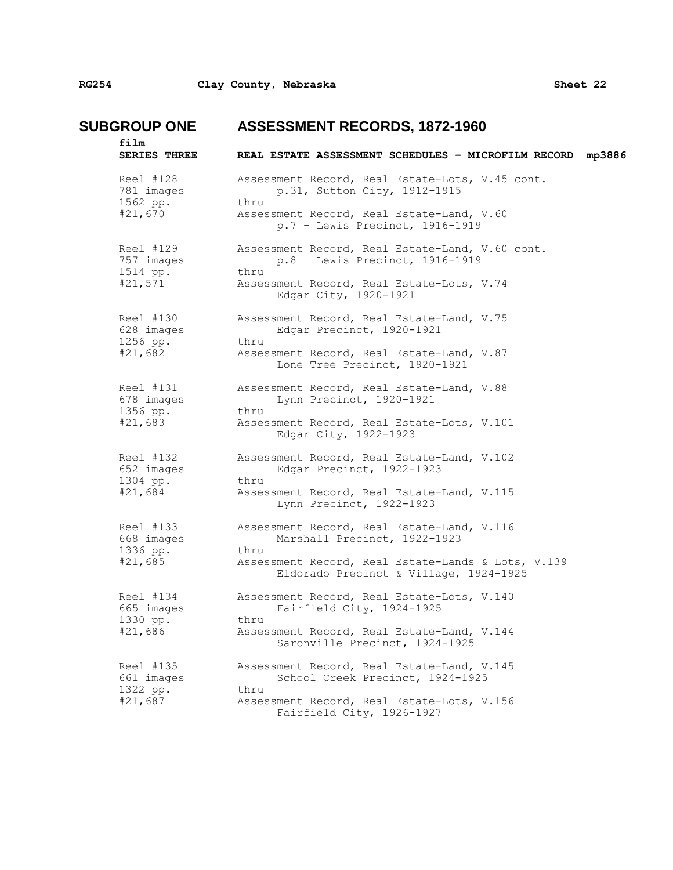| film<br>SERIES THREE                           | REAL ESTATE ASSESSMENT SCHEDULES - MICROFILM RECORD<br>mp3886                                                                                                                      |
|------------------------------------------------|------------------------------------------------------------------------------------------------------------------------------------------------------------------------------------|
| Reel #128<br>781 images<br>1562 pp.<br>#21,670 | Assessment Record, Real Estate-Lots, V.45 cont.<br>p.31, Sutton City, 1912-1915<br>thru<br>Assessment Record, Real Estate-Land, V.60<br>p.7 - Lewis Precinct, 1916-1919            |
| Reel #129<br>757 images<br>1514 pp.<br>#21,571 | Assessment Record, Real Estate-Land, V.60 cont.<br>p.8 - Lewis Precinct, 1916-1919<br>thru<br>Assessment Record, Real Estate-Lots, V.74<br>Edgar City, 1920-1921                   |
| Reel #130<br>628 images<br>1256 pp.<br>#21,682 | Assessment Record, Real Estate-Land, V.75<br>Edgar Precinct, 1920-1921<br>thru<br>Assessment Record, Real Estate-Land, V.87<br>Lone Tree Precinct, 1920-1921                       |
| Reel #131<br>678 images<br>1356 pp.<br>#21,683 | Assessment Record, Real Estate-Land, V.88<br>Lynn Precinct, 1920-1921<br>thru<br>Assessment Record, Real Estate-Lots, V.101<br>Edgar City, 1922-1923                               |
| Reel #132<br>652 images<br>1304 pp.<br>#21,684 | Assessment Record, Real Estate-Land, V.102<br>Edgar Precinct, 1922-1923<br>thru<br>Assessment Record, Real Estate-Land, V.115<br>Lynn Precinct, 1922-1923                          |
| Reel #133<br>668 images<br>1336 pp.<br>#21,685 | Assessment Record, Real Estate-Land, V.116<br>Marshall Precinct, 1922-1923<br>thru<br>Assessment Record, Real Estate-Lands & Lots, V.139<br>Eldorado Precinct & Village, 1924-1925 |
| Reel #134<br>665 images<br>1330 pp.<br>#21,686 | Assessment Record, Real Estate-Lots, V.140<br>Fairfield City, 1924-1925<br>thru<br>Assessment Record, Real Estate-Land, V.144<br>Saronville Precinct, 1924-1925                    |
| Reel #135<br>661 images<br>1322 pp.<br>#21,687 | Assessment Record, Real Estate-Land, V.145<br>School Creek Precinct, 1924-1925<br>thru<br>Assessment Record, Real Estate-Lots, V.156<br>Fairfield City, 1926-1927                  |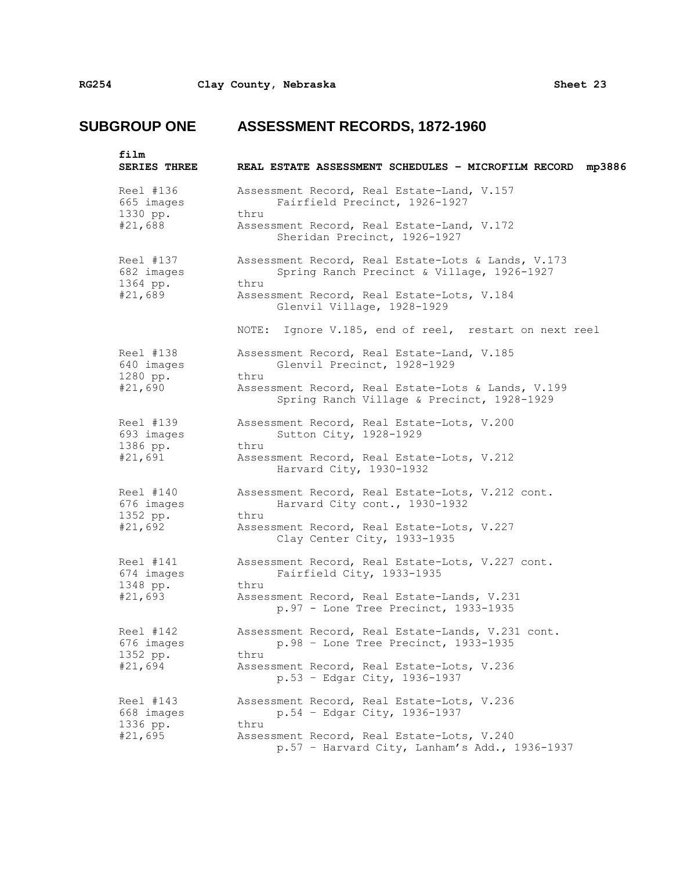| film<br><b>SERIES THREE</b>                    | REAL ESTATE ASSESSMENT SCHEDULES - MICROFILM RECORD mp3886                                                                                                                                                                                    |
|------------------------------------------------|-----------------------------------------------------------------------------------------------------------------------------------------------------------------------------------------------------------------------------------------------|
| Reel #136<br>665 images<br>1330 pp.<br>#21,688 | Assessment Record, Real Estate-Land, V.157<br>Fairfield Precinct, 1926-1927<br>thru<br>Assessment Record, Real Estate-Land, V.172<br>Sheridan Precinct, 1926-1927                                                                             |
| Reel #137<br>682 images<br>1364 pp.<br>#21,689 | Assessment Record, Real Estate-Lots & Lands, V.173<br>Spring Ranch Precinct & Village, 1926-1927<br>thru<br>Assessment Record, Real Estate-Lots, V.184<br>Glenvil Village, 1928-1929<br>NOTE: Ignore V.185, end of reel, restart on next reel |
| Reel #138<br>640 images<br>1280 pp.<br>#21,690 | Assessment Record, Real Estate-Land, V.185<br>Glenvil Precinct, 1928-1929<br>thru<br>Assessment Record, Real Estate-Lots & Lands, V.199<br>Spring Ranch Village & Precinct, 1928-1929                                                         |
| Reel #139<br>693 images<br>1386 pp.<br>#21,691 | Assessment Record, Real Estate-Lots, V.200<br>Sutton City, 1928-1929<br>thru<br>Assessment Record, Real Estate-Lots, V.212<br>Harvard City, 1930-1932                                                                                         |
| Reel #140<br>676 images<br>1352 pp.<br>#21,692 | Assessment Record, Real Estate-Lots, V.212 cont.<br>Harvard City cont., 1930-1932<br>thru<br>Assessment Record, Real Estate-Lots, V.227<br>Clay Center City, 1933-1935                                                                        |
| Reel #141<br>674 images<br>1348 pp.<br>#21,693 | Assessment Record, Real Estate-Lots, V.227 cont.<br>Fairfield City, 1933-1935<br>thru<br>Assessment Record, Real Estate-Lands, V.231<br>p.97 - Lone Tree Precinct, 1933-1935                                                                  |
| Reel #142<br>676 images<br>1352 pp.<br>#21,694 | Assessment Record, Real Estate-Lands, V.231 cont.<br>$p.98$ - Lone Tree Precinct, 1933-1935<br>thru<br>Assessment Record, Real Estate-Lots, V.236<br>p.53 - Edgar City, 1936-1937                                                             |
| Reel #143<br>668 images<br>1336 pp.<br>#21,695 | Assessment Record, Real Estate-Lots, V.236<br>$p.54 - Edgar City, 1936-1937$<br>thru<br>Assessment Record, Real Estate-Lots, V.240<br>$p.57$ - Harvard City, Lanham's Add., 1936-1937                                                         |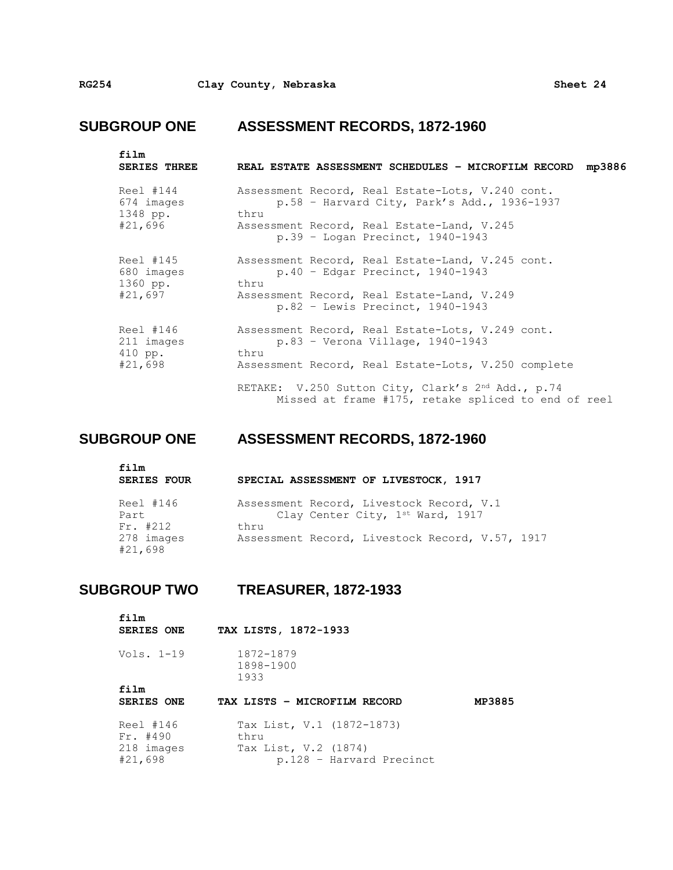| film<br><b>SERIES THREE</b>                    | REAL ESTATE ASSESSMENT SCHEDULES - MICROFILM RECORD mp3886                                                                                                                                    |
|------------------------------------------------|-----------------------------------------------------------------------------------------------------------------------------------------------------------------------------------------------|
| Reel #144<br>674 images<br>1348 pp.<br>#21,696 | Assessment Record, Real Estate-Lots, V.240 cont.<br>$p.58$ - Harvard City, Park's Add., 1936-1937<br>thru<br>Assessment Record, Real Estate-Land, V.245<br>$p.39$ - Logan Precinct, 1940-1943 |
| Reel #145<br>680 images<br>1360 pp.<br>#21,697 | Assessment Record, Real Estate-Land, V.245 cont.<br>$p.40 - Edgar$ Precinct, 1940-1943<br>thru<br>Assessment Record, Real Estate-Land, V.249<br>p.82 - Lewis Precinct, 1940-1943              |
| Reel #146<br>211 images<br>410 pp.<br>#21,698  | Assessment Record, Real Estate-Lots, V.249 cont.<br>$p.83 -$ Verona Village, 1940-1943<br>thru<br>Assessment Record, Real Estate-Lots, V.250 complete                                         |
|                                                | RETAKE: V.250 Sutton City, Clark's 2nd Add., p.74<br>Missed at frame #175, retake spliced to end of reel                                                                                      |

## **SUBGROUP ONE ASSESSMENT RECORDS, 1872-1960**

| film<br><b>SERIES FOUR</b> | SPECIAL ASSESSMENT OF LIVESTOCK, 1917                                        |
|----------------------------|------------------------------------------------------------------------------|
| Reel #146<br>Part          | Assessment Record, Livestock Record, V.1<br>Clay Center City, 1st Ward, 1917 |
| $Fr.$ #212                 | thru                                                                         |
| 278 images<br>#21,698      | Assessment Record, Livestock Record, V.57, 1917                              |

## **SUBGROUP TWO TREASURER, 1872-1933**

| film<br><b>SERIES ONE</b> | TAX LISTS, 1872-1933              |        |
|---------------------------|-----------------------------------|--------|
| Vols. $1-19$              | 1872-1879<br>1898-1900<br>1933    |        |
| film                      |                                   |        |
| <b>SERIES ONE</b>         | TAX LISTS - MICROFILM RECORD      | MP3885 |
| Reel #146<br>$Fr.$ #490   | Tax List, V.1 (1872-1873)<br>thru |        |
| 218 images                | Tax List, V.2 (1874)              |        |
| #21,698                   | p.128 - Harvard Precinct          |        |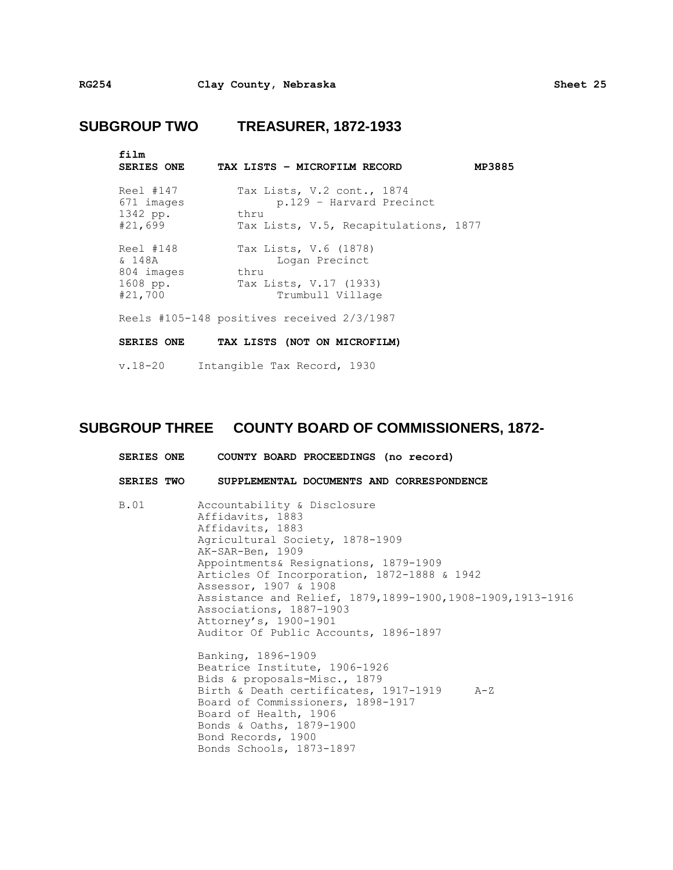## **SUBGROUP TWO TREASURER, 1872-1933**

| film<br><b>SERIES ONE</b>                                | TAX LISTS - MICROFILM RECORD<br>MP3885                                                                  |  |
|----------------------------------------------------------|---------------------------------------------------------------------------------------------------------|--|
| Reel #147<br>671 images<br>1342 pp.<br>#21,699           | Tax Lists, V.2 cont., 1874<br>p.129 - Harvard Precinct<br>thru<br>Tax Lists, V.5, Recapitulations, 1877 |  |
| Reel #148<br>& 148A<br>804 images<br>1608 pp.<br>#21,700 | Tax Lists, V.6 (1878)<br>Logan Precinct<br>thru<br>Tax Lists, V.17 (1933)<br>Trumbull Village           |  |
|                                                          | Reels #105-148 positives received 2/3/1987                                                              |  |
| <b>SERIES ONE</b>                                        | TAX LISTS (NOT ON MICROFILM)                                                                            |  |
| $v.18 - 20$                                              | Intangible Tax Record, 1930                                                                             |  |

## **SUBGROUP THREE COUNTY BOARD OF COMMISSIONERS, 1872-**

|      | SERIES ONE COUNTY BOARD PROCEEDINGS (no record)                                                                                                                                                                                                                                                                                                                                                                                                                                                                                                                                                                                                                                          |
|------|------------------------------------------------------------------------------------------------------------------------------------------------------------------------------------------------------------------------------------------------------------------------------------------------------------------------------------------------------------------------------------------------------------------------------------------------------------------------------------------------------------------------------------------------------------------------------------------------------------------------------------------------------------------------------------------|
|      | SERIES TWO SUPPLEMENTAL DOCUMENTS AND CORRESPONDENCE                                                                                                                                                                                                                                                                                                                                                                                                                                                                                                                                                                                                                                     |
| B.01 | Accountability & Disclosure<br>Affidavits, 1883<br>Affidavits, 1883<br>Agricultural Society, 1878-1909<br>AK-SAR-Ben, 1909<br>Appointments& Resignations, 1879-1909<br>Articles Of Incorporation, 1872-1888 & 1942<br>Assessor, 1907 & 1908<br>Assistance and Relief, 1879, 1899-1900, 1908-1909, 1913-1916<br>Associations, 1887-1903<br>Attorney's, 1900-1901<br>Auditor Of Public Accounts, 1896-1897<br>Banking, 1896-1909<br>Beatrice Institute, 1906-1926<br>Bids & proposals-Misc., 1879<br>Birth & Death certificates, 1917-1919 A-Z<br>Board of Commissioners, 1898-1917<br>Board of Health, 1906<br>Bonds & Oaths, 1879-1900<br>Bond Records, 1900<br>Bonds Schools, 1873-1897 |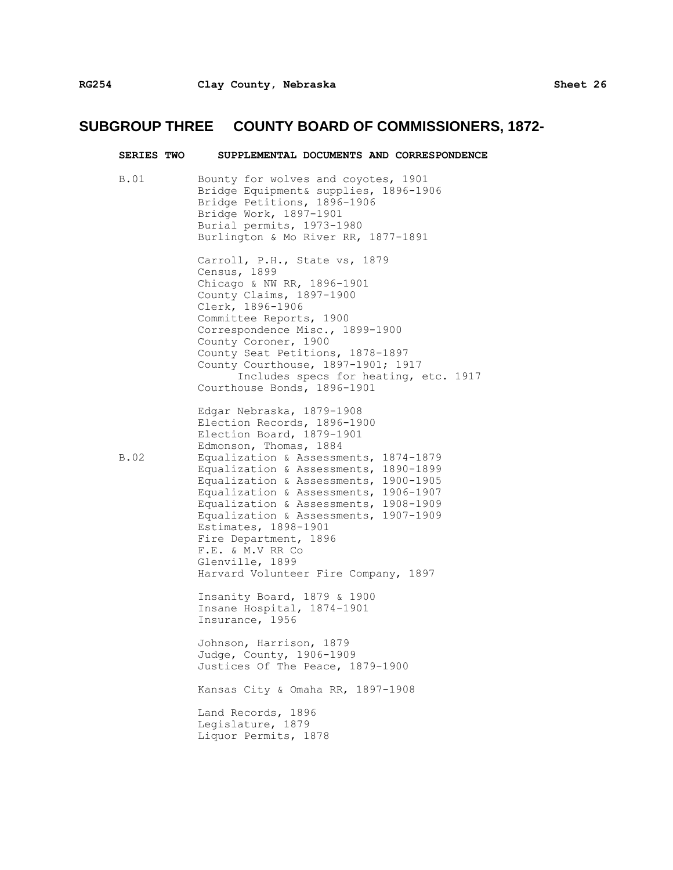| <b>SERIES TWO</b> | SUPPLEMENTAL DOCUMENTS AND CORRESPONDENCE                                                                                                                                                                                                                                                                                                                                                                                                                                                             |
|-------------------|-------------------------------------------------------------------------------------------------------------------------------------------------------------------------------------------------------------------------------------------------------------------------------------------------------------------------------------------------------------------------------------------------------------------------------------------------------------------------------------------------------|
| B.01              | Bounty for wolves and coyotes, 1901<br>Bridge Equipment& supplies, 1896-1906<br>Bridge Petitions, 1896-1906<br>Bridge Work, 1897-1901<br>Burial permits, 1973-1980<br>Burlington & Mo River RR, 1877-1891                                                                                                                                                                                                                                                                                             |
|                   | Carroll, P.H., State vs, 1879<br>Census, 1899<br>Chicago & NW RR, 1896-1901<br>County Claims, 1897-1900<br>Clerk, 1896-1906<br>Committee Reports, 1900<br>Correspondence Misc., 1899-1900<br>County Coroner, 1900<br>County Seat Petitions, 1878-1897<br>County Courthouse, 1897-1901; 1917<br>Includes specs for heating, etc. 1917<br>Courthouse Bonds, 1896-1901                                                                                                                                   |
| B.02              | Edgar Nebraska, 1879-1908<br>Election Records, 1896-1900<br>Election Board, 1879-1901<br>Edmonson, Thomas, 1884<br>Equalization & Assessments, 1874-1879<br>Equalization & Assessments, 1890-1899<br>Equalization & Assessments, 1900-1905<br>Equalization & Assessments, 1906-1907<br>Equalization & Assessments, 1908-1909<br>Equalization & Assessments, 1907-1909<br>Estimates, 1898-1901<br>Fire Department, 1896<br>F.E. & M.V RR Co<br>Glenville, 1899<br>Harvard Volunteer Fire Company, 1897 |
|                   | Insanity Board, 1879 & 1900<br>Insane Hospital, 1874-1901<br>Insurance, 1956                                                                                                                                                                                                                                                                                                                                                                                                                          |
|                   | Johnson, Harrison, 1879<br>Judge, County, 1906-1909<br>Justices Of The Peace, 1879-1900                                                                                                                                                                                                                                                                                                                                                                                                               |
|                   | Kansas City & Omaha RR, 1897-1908                                                                                                                                                                                                                                                                                                                                                                                                                                                                     |
|                   | Land Records, 1896<br>Legislature, 1879<br>Liquor Permits, 1878                                                                                                                                                                                                                                                                                                                                                                                                                                       |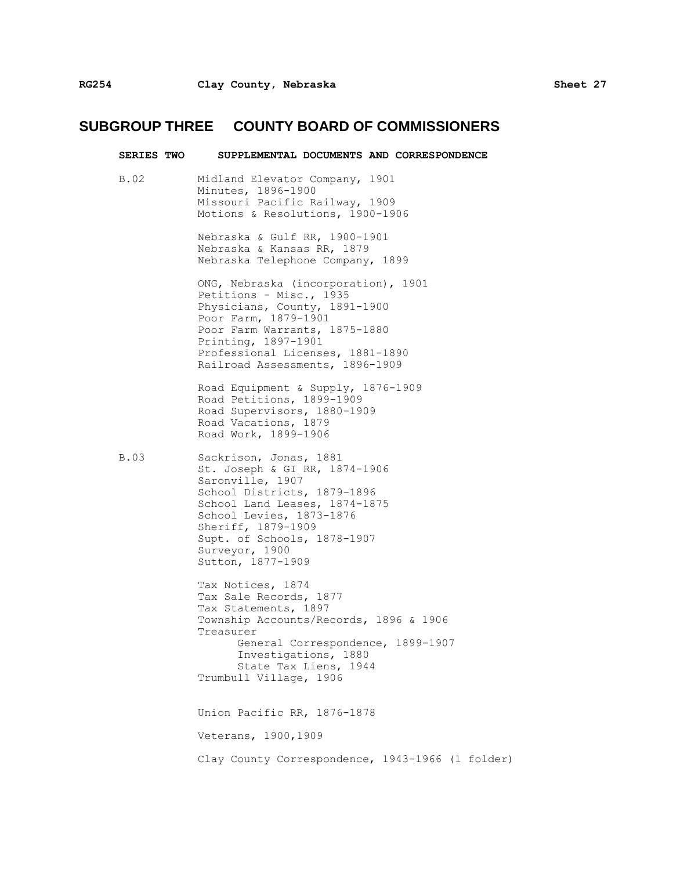|      | SERIES TWO SUPPLEMENTAL DOCUMENTS AND CORRESPONDENCE                                                                                                                                                                                                                |
|------|---------------------------------------------------------------------------------------------------------------------------------------------------------------------------------------------------------------------------------------------------------------------|
| B.02 | Midland Elevator Company, 1901<br>Minutes, 1896-1900<br>Missouri Pacific Railway, 1909<br>Motions & Resolutions, 1900-1906                                                                                                                                          |
|      | Nebraska & Gulf RR, 1900-1901<br>Nebraska & Kansas RR, 1879<br>Nebraska Telephone Company, 1899                                                                                                                                                                     |
|      | ONG, Nebraska (incorporation), 1901<br>Petitions - Misc., 1935<br>Physicians, County, 1891-1900<br>Poor Farm, 1879-1901<br>Poor Farm Warrants, 1875-1880<br>Printing, 1897-1901<br>Professional Licenses, 1881-1890<br>Railroad Assessments, 1896-1909              |
|      | Road Equipment & Supply, 1876-1909<br>Road Petitions, 1899-1909<br>Road Supervisors, 1880-1909<br>Road Vacations, 1879<br>Road Work, 1899-1906                                                                                                                      |
| B.03 | Sackrison, Jonas, 1881<br>St. Joseph & GI RR, 1874-1906<br>Saronville, 1907<br>School Districts, 1879-1896<br>School Land Leases, 1874-1875<br>School Levies, 1873-1876<br>Sheriff, 1879-1909<br>Supt. of Schools, 1878-1907<br>Surveyor, 1900<br>Sutton, 1877-1909 |
|      | Tax Notices, 1874<br>Tax Sale Records, 1877<br>Tax Statements, 1897<br>Township Accounts/Records, 1896 & 1906<br>Treasurer<br>General Correspondence, 1899-1907<br>Investigations, 1880<br>State Tax Liens, 1944<br>Trumbull Village, 1906                          |
|      | Union Pacific RR, 1876-1878                                                                                                                                                                                                                                         |
|      | Veterans, 1900, 1909                                                                                                                                                                                                                                                |
|      | Clay County Correspondence, 1943-1966 (1 folder)                                                                                                                                                                                                                    |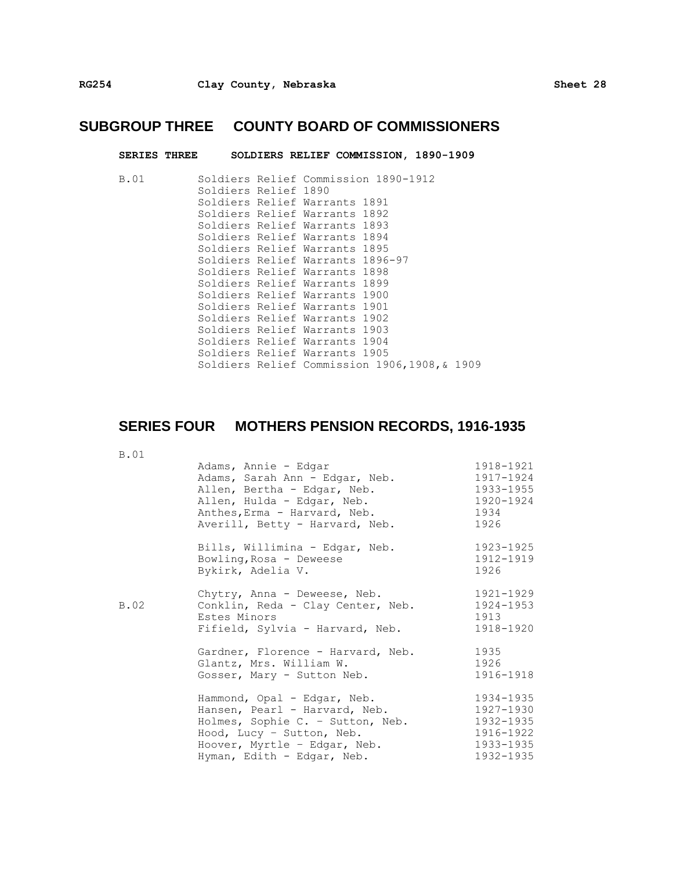| <b>SERIES THREE</b> |                                             | SOLDIERS RELIEF COMMISSION, 1890-1909 |  |  |
|---------------------|---------------------------------------------|---------------------------------------|--|--|
| B.01                | Soldiers Relief Commission 1890-1912        |                                       |  |  |
|                     | Soldiers Relief 1890                        |                                       |  |  |
|                     | Soldiers Relief Warrants 1891               |                                       |  |  |
|                     | Soldiers Relief Warrants 1892               |                                       |  |  |
|                     | Soldiers Relief Warrants 1893               |                                       |  |  |
|                     | Soldiers Relief Warrants 1894               |                                       |  |  |
|                     | Soldiers Relief Warrants 1895               |                                       |  |  |
|                     | Soldiers Relief Warrants 1896-97            |                                       |  |  |
|                     | Soldiers Relief Warrants 1898               |                                       |  |  |
|                     | Soldiers Relief Warrants 1899               |                                       |  |  |
|                     | Soldiers Relief Warrants 1900               |                                       |  |  |
|                     | Soldiers Relief Warrants 1901               |                                       |  |  |
|                     | Soldiers Relief Warrants 1902               |                                       |  |  |
|                     | Soldiers Relief Warrants 1903               |                                       |  |  |
|                     | Soldiers Relief Warrants 1904               |                                       |  |  |
|                     | Soldiers Relief Warrants 1905               |                                       |  |  |
|                     | Soldiers Relief Commission 1906,1908,& 1909 |                                       |  |  |

## **SERIES FOUR MOTHERS PENSION RECORDS, 1916-1935**

| <b>B.01</b> |                                                                                                                                                                                             |                                                                            |
|-------------|---------------------------------------------------------------------------------------------------------------------------------------------------------------------------------------------|----------------------------------------------------------------------------|
|             | Adams, Annie - Edgar<br>Adams, Sarah Ann - Edgar, Neb.<br>Allen, Bertha - Edgar, Neb.<br>Allen, Hulda - Edgar, Neb.<br>Anthes, Erma - Harvard, Neb.<br>Averill, Betty - Harvard, Neb.       | 1918-1921<br>1917-1924<br>1933-1955<br>1920-1924<br>1934<br>1926           |
|             | Bills, Willimina - Edgar, Neb.<br>Bowling, Rosa - Deweese<br>Bykirk, Adelia V.                                                                                                              | 1923-1925<br>1912-1919<br>1926                                             |
| B.02        | Chytry, Anna - Deweese, Neb.<br>Conklin, Reda - Clay Center, Neb.<br>Estes Minors<br>Fifield, Sylvia - Harvard, Neb.                                                                        | 1921-1929<br>1924-1953<br>1913<br>1918-1920                                |
|             | Gardner, Florence - Harvard, Neb.<br>Glantz, Mrs. William W.<br>Gosser, Mary - Sutton Neb.                                                                                                  | 1935<br>1926<br>1916-1918                                                  |
|             | Hammond, Opal - Edgar, Neb.<br>Hansen, Pearl - Harvard, Neb.<br>Holmes, Sophie C. - Sutton, Neb.<br>Hood, Lucy - Sutton, Neb.<br>Hoover, Myrtle - Edgar, Neb.<br>Hyman, Edith - Edgar, Neb. | 1934-1935<br>1927-1930<br>1932-1935<br>1916-1922<br>1933-1935<br>1932-1935 |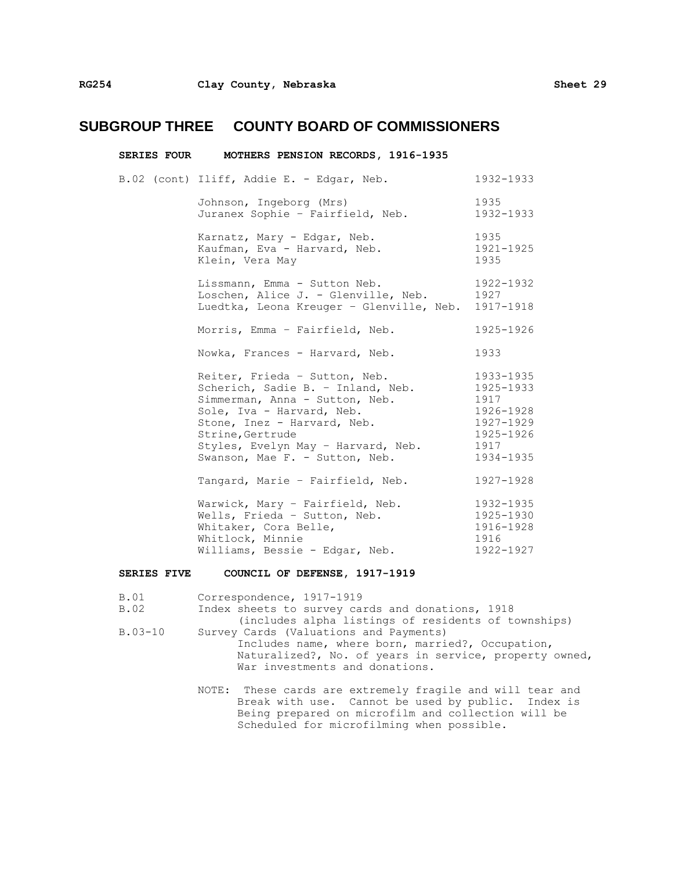| SERIES FOUR MOTHERS PENSION RECORDS, 1916-1935                                                                                                                                                                                                               |                                                                                            |
|--------------------------------------------------------------------------------------------------------------------------------------------------------------------------------------------------------------------------------------------------------------|--------------------------------------------------------------------------------------------|
| B.02 (cont) Iliff, Addie E. - Edgar, Neb.                                                                                                                                                                                                                    | 1932-1933                                                                                  |
| Johnson, Ingeborg (Mrs)<br>Juranex Sophie - Fairfield, Neb.                                                                                                                                                                                                  | 1935<br>1932-1933                                                                          |
| Karnatz, Mary - Edgar, Neb.<br>Kaufman, Eva - Harvard, Neb.<br>Klein, Vera May                                                                                                                                                                               | 1935<br>1921-1925<br>1935                                                                  |
| Lissmann, Emma - Sutton Neb.<br>Loschen, Alice J. - Glenville, Neb.<br>Luedtka, Leona Kreuger - Glenville, Neb. 1917-1918                                                                                                                                    | 1922-1932<br>1927                                                                          |
| Morris, Emma - Fairfield, Neb.                                                                                                                                                                                                                               | 1925-1926                                                                                  |
| Nowka, Frances - Harvard, Neb.                                                                                                                                                                                                                               | 1933                                                                                       |
| Reiter, Frieda - Sutton, Neb.<br>Scherich, Sadie B. - Inland, Neb.<br>Simmerman, Anna - Sutton, Neb.<br>Sole, Iva - Harvard, Neb.<br>Stone, Inez - Harvard, Neb.<br>Strine, Gertrude<br>Styles, Evelyn May - Harvard, Neb.<br>Swanson, Mae F. - Sutton, Neb. | 1933-1935<br>1925-1933<br>1917<br>1926-1928<br>1927-1929<br>1925-1926<br>1917<br>1934-1935 |
| Tangard, Marie - Fairfield, Neb.                                                                                                                                                                                                                             | 1927-1928                                                                                  |
| Warwick, Mary - Fairfield, Neb.<br>Wells, Frieda - Sutton, Neb.<br>Whitaker, Cora Belle,<br>Whitlock, Minnie<br>Williams, Bessie - Edgar, Neb.                                                                                                               | 1932-1935<br>1925-1930<br>1916-1928<br>1916<br>1922-1927                                   |

#### **SERIES FIVE COUNCIL OF DEFENSE, 1917-1919**

B.01 Correspondence, 1917-1919<br>B.02 Index sheets to survey ca

Index sheets to survey cards and donations, 1918

- (includes alpha listings of residents of townships) B.03-10 Survey Cards (Valuations and Payments)
- Includes name, where born, married?, Occupation, Naturalized?, No. of years in service, property owned, War investments and donations.
	- NOTE: These cards are extremely fragile and will tear and Break with use. Cannot be used by public. Index is Being prepared on microfilm and collection will be Scheduled for microfilming when possible.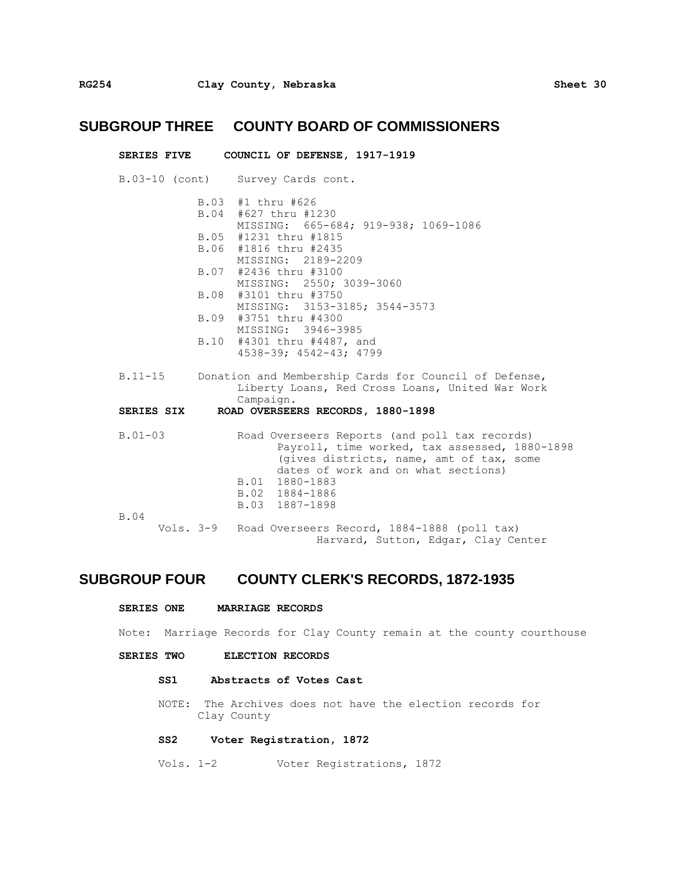|                   |                   | SERIES FIVE COUNCIL OF DEFENSE, 1917-1919                                                                                                                                                                                                                                                          |
|-------------------|-------------------|----------------------------------------------------------------------------------------------------------------------------------------------------------------------------------------------------------------------------------------------------------------------------------------------------|
|                   |                   | B.03-10 (cont) Survey Cards cont.                                                                                                                                                                                                                                                                  |
|                   | B.03 #1 thru #626 | B.04 #627 thru #1230<br>MISSING: 665-684; 919-938; 1069-1086<br>B.05 #1231 thru #1815<br>B.06 #1816 thru #2435<br>MISSING: 2189-2209<br>B.07 #2436 thru #3100<br>MISSING: 2550; 3039-3060<br>B.08 #3101 thru #3750<br>MISSING: 3153-3185; 3544-3573<br>B.09 #3751 thru #4300<br>MISSING: 3946-3985 |
|                   |                   | B.10 #4301 thru #4487, and<br>4538-39; 4542-43; 4799                                                                                                                                                                                                                                               |
|                   |                   | B.11-15 Donation and Membership Cards for Council of Defense,<br>Liberty Loans, Red Cross Loans, United War Work<br>Campaign.                                                                                                                                                                      |
| <b>SERIES SIX</b> |                   | ROAD OVERSEERS RECORDS, 1880-1898                                                                                                                                                                                                                                                                  |
| $B.01 - 03$       |                   | Road Overseers Reports (and poll tax records)<br>Payroll, time worked, tax assessed, 1880-1898<br>(gives districts, name, amt of tax, some<br>dates of work and on what sections)<br>B.01 1880-1883<br>B.02 1884-1886<br>B.03 1887-1898                                                            |
| B.04              |                   | Vols. 3-9 Road Overseers Record, 1884-1888 (poll tax)<br>Harvard, Sutton, Edgar, Clay Center                                                                                                                                                                                                       |

### **SUBGROUP FOUR COUNTY CLERK'S RECORDS, 1872-1935**

#### **SERIES ONE MARRIAGE RECORDS**

Note: Marriage Records for Clay County remain at the county courthouse

#### **SERIES TWO ELECTION RECORDS**

#### **SS1 Abstracts of Votes Cast**

NOTE: The Archives does not have the election records for Clay County

#### **SS2 Voter Registration, 1872**

Vols. 1-2 Voter Registrations, 1872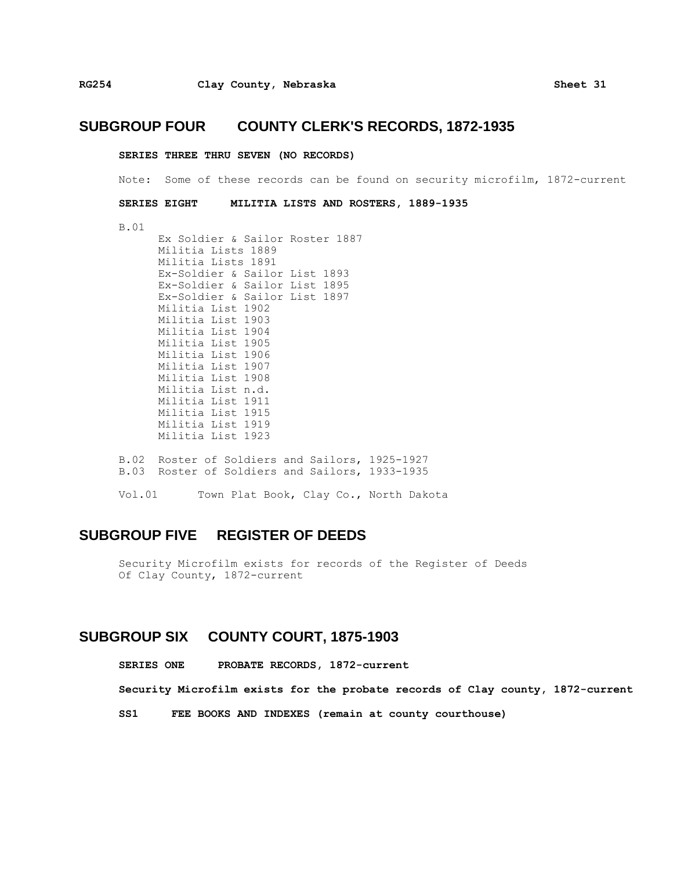#### **SUBGROUP FOUR COUNTY CLERK'S RECORDS, 1872-1935**

#### **SERIES THREE THRU SEVEN (NO RECORDS)**

Note: Some of these records can be found on security microfilm, 1872-current

**SERIES EIGHT MILITIA LISTS AND ROSTERS, 1889-1935**

B.01

Ex Soldier & Sailor Roster 1887 Militia Lists 1889 Militia Lists 1891 Ex-Soldier & Sailor List 1893 Ex-Soldier & Sailor List 1895 Ex-Soldier & Sailor List 1897 Militia List 1902 Militia List 1903 Militia List 1904 Militia List 1905 Militia List 1906 Militia List 1907 Militia List 1908 Militia List n.d. Militia List 1911 Militia List 1915 Militia List 1919 Militia List 1923 B.02 Roster of Soldiers and Sailors, 1925-1927 B.03 Roster of Soldiers and Sailors, 1933-1935 Vol.01 Town Plat Book, Clay Co., North Dakota

### **SUBGROUP FIVE REGISTER OF DEEDS**

Security Microfilm exists for records of the Register of Deeds Of Clay County, 1872-current

#### **SUBGROUP SIX COUNTY COURT, 1875-1903**

**SERIES ONE PROBATE RECORDS, 1872-current**

**Security Microfilm exists for the probate records of Clay county, 1872-current**

**SS1 FEE BOOKS AND INDEXES (remain at county courthouse)**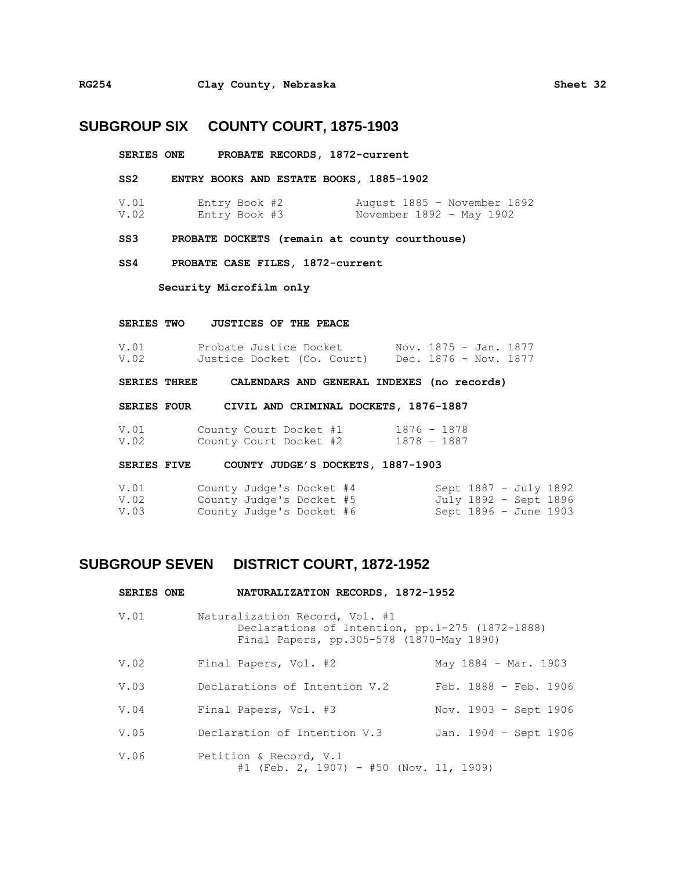#### **SUBGROUP SIX COUNTY COURT, 1875-1903**

- **SERIES ONE PROBATE RECORDS, 1872-current**
- **SS2 ENTRY BOOKS AND ESTATE BOOKS, 1885-1902**
- V.01 Entry Book #2 August 1885 November 1892 Entry Book #3 November 1892 - May 1902

**SS3 PROBATE DOCKETS (remain at county courthouse)**

**SS4 PROBATE CASE FILES, 1872-current**

**Security Microfilm only**

#### **SERIES TWO JUSTICES OF THE PEACE**

| V.01 | Probate Justice Docket     |  |  | Nov. 1875 - Jan. 1877 |  |
|------|----------------------------|--|--|-----------------------|--|
| V.02 | Justice Docket (Co. Court) |  |  | Dec. 1876 - Nov. 1877 |  |

**SERIES THREE CALENDARS AND GENERAL INDEXES (no records)**

**SERIES FOUR CIVIL AND CRIMINAL DOCKETS, 1876-1887**

V.01 County Court Docket #1 1876 - 1878 V.02 County Court Docket #2

**SERIES FIVE COUNTY JUDGE'S DOCKETS, 1887-1903**

| V.O1 | County Judge's Docket #4 |  |  | Sept 1887 - July 1892 |  |
|------|--------------------------|--|--|-----------------------|--|
| V.02 | County Judge's Docket #5 |  |  | July 1892 - Sept 1896 |  |
| V.03 | County Judge's Docket #6 |  |  | Sept 1896 - June 1903 |  |

### **SUBGROUP SEVEN DISTRICT COURT, 1872-1952**

| <b>SERIES ONE</b> | NATURALIZATION RECORDS, 1872-1952                                                                                             |                                 |
|-------------------|-------------------------------------------------------------------------------------------------------------------------------|---------------------------------|
| V.01              | Naturalization Record, Vol. #1<br>Declarations of Intention, pp.1-275 (1872-1888)<br>Final Papers, pp.305-578 (1870-May 1890) |                                 |
| V.02              | Final Papers, Vol. #2                                                                                                         | May $1884 - Mar. 1903$          |
| V.03              | Declarations of Intention V.2                                                                                                 | Feb. $1888 - \text{Feb. } 1906$ |
| V.04              | Final Papers, Vol. #3                                                                                                         | Nov. 1903 - Sept 1906           |
| V.05              | Declaration of Intention V.3                                                                                                  | Jan. 1904 - Sept 1906           |
| V.06              | Petition & Record, V.1<br>#1 (Feb. 2, 1907) - #50 (Nov. 11, 1909)                                                             |                                 |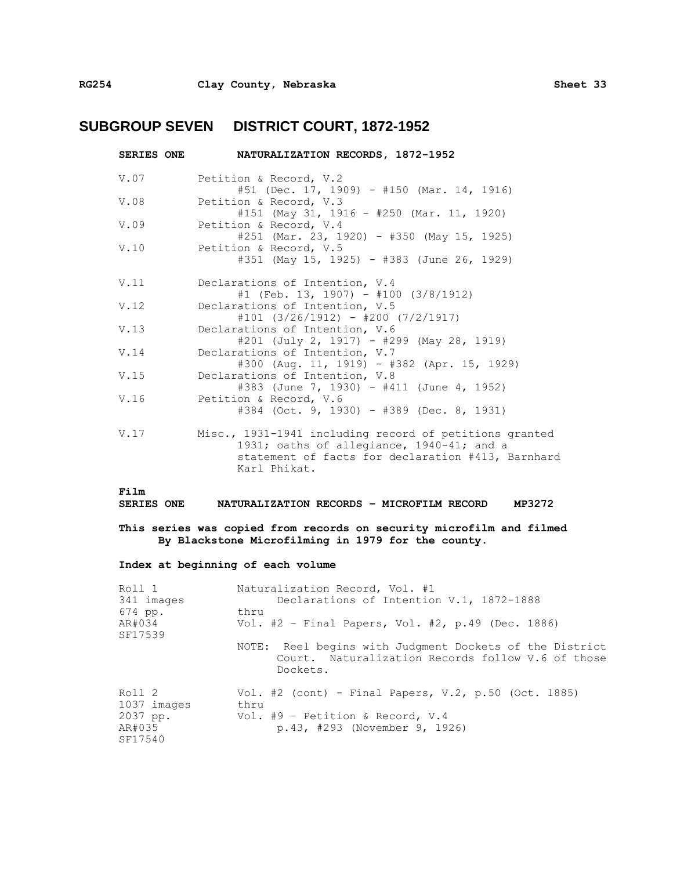## **SUBGROUP SEVEN DISTRICT COURT, 1872-1952**

| <b>SERIES ONE</b> | NATURALIZATION RECORDS, 1872-1952                                                                                                                                        |
|-------------------|--------------------------------------------------------------------------------------------------------------------------------------------------------------------------|
| V.07              | Petition & Record, V.2<br>$#51$ (Dec. 17, 1909) - #150 (Mar. 14, 1916)                                                                                                   |
| V.08              | Petition & Record, V.3<br>#151 (May 31, 1916 - #250 (Mar. 11, 1920)                                                                                                      |
| V.09              | Petition & Record, V.4<br>$#251$ (Mar. 23, 1920) - $#350$ (May 15, 1925)                                                                                                 |
| V.10              | Petition & Record, V.5<br>#351 (May 15, 1925) - #383 (June 26, 1929)                                                                                                     |
| V.11              | Declarations of Intention, V.4<br>#1 (Feb. 13, 1907) - #100 (3/8/1912)                                                                                                   |
| V.12              | Declarations of Intention, V.5<br>$#101$ (3/26/1912) - #200 (7/2/1917)                                                                                                   |
| V.13              | Declarations of Intention, V.6<br>$#201$ (July 2, 1917) - $#299$ (May 28, 1919)                                                                                          |
| V.14              | Declarations of Intention, V.7<br>#300 (Aug. 11, 1919) - #382 (Apr. 15, 1929)                                                                                            |
| V.15              | Declarations of Intention, V.8<br>#383 (June 7, 1930) - #411 (June 4, 1952)                                                                                              |
| V.16              | Petition & Record, V.6<br>#384 (Oct. 9, 1930) - #389 (Dec. 8, 1931)                                                                                                      |
| V.17              | Misc., 1931-1941 including record of petitions granted<br>1931; oaths of allegiance, 1940-41; and a<br>statement of facts for declaration #413, Barnhard<br>Karl Phikat. |

#### **Film**

**SERIES ONE NATURALIZATION RECORDS – MICROFILM RECORD MP3272**

**This series was copied from records on security microfilm and filmed By Blackstone Microfilming in 1979 for the county.**

#### **Index at beginning of each volume**

| Naturalization Record, Vol. #1<br>Declarations of Intention V.1, 1872-1888<br>thru<br>Vol. #2 - Final Papers, Vol. #2, p.49 (Dec. 1886) |
|-----------------------------------------------------------------------------------------------------------------------------------------|
| NOTE: Reel begins with Judgment Dockets of the District<br>Court. Naturalization Records follow V.6 of those<br>Dockets.                |
| Vol. #2 (cont) - Final Papers, V.2, p.50 (Oct. 1885)<br>thru<br>Vol. #9 - Petition & Record, V.4<br>p.43, #293 (November 9, 1926)       |
|                                                                                                                                         |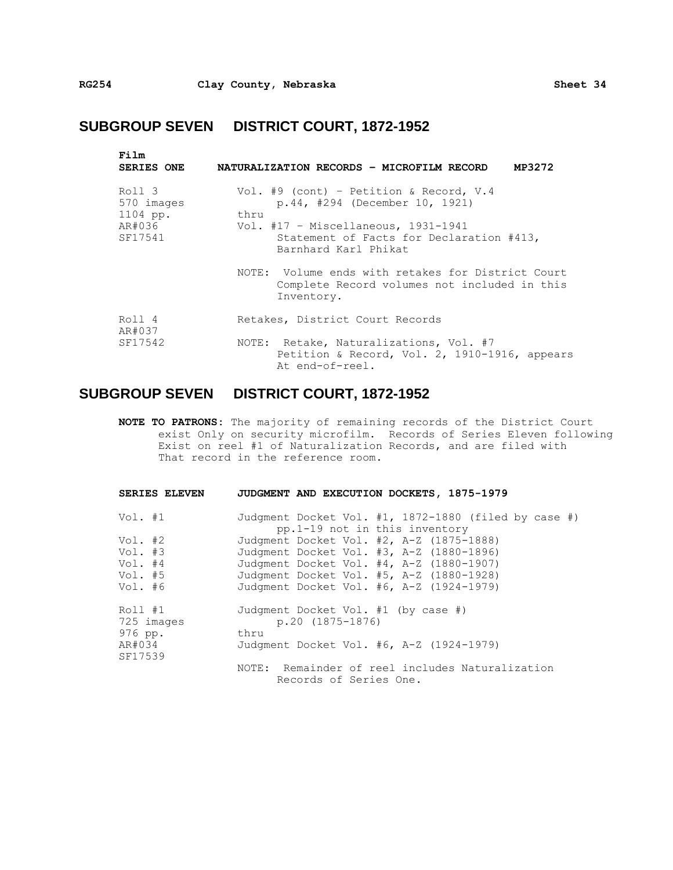## **SUBGROUP SEVEN DISTRICT COURT, 1872-1952**

| Film<br><b>SERIES ONE</b>                             | NATURALIZATION RECORDS - MICROFILM RECORD<br>MP3272                                                                                                                                            |
|-------------------------------------------------------|------------------------------------------------------------------------------------------------------------------------------------------------------------------------------------------------|
| Roll 3<br>570 images<br>1104 pp.<br>AR#036<br>SF17541 | Vol. #9 (cont) - Petition & Record, V.4<br>p.44, #294 (December 10, 1921)<br>thru<br>Vol. $#17$ - Miscellaneous, 1931-1941<br>Statement of Facts for Declaration #413,<br>Barnhard Karl Phikat |
|                                                       | NOTE: Volume ends with retakes for District Court<br>Complete Record volumes not included in this<br>Inventory.                                                                                |
| Roll 4<br>AR#037                                      | Retakes, District Court Records                                                                                                                                                                |
| SF17542                                               | NOTE: Retake, Naturalizations, Vol. #7<br>Petition & Record, Vol. 2, 1910-1916, appears<br>At end-of-reel.                                                                                     |

## **SUBGROUP SEVEN DISTRICT COURT, 1872-1952**

**NOTE TO PATRONS:** The majority of remaining records of the District Court exist Only on security microfilm. Records of Series Eleven following Exist on reel #1 of Naturalization Records, and are filed with That record in the reference room.

| SERIES ELEVEN                                           | JUDGMENT AND EXECUTION DOCKETS, 1875-1979                                                                                                                                                                                |
|---------------------------------------------------------|--------------------------------------------------------------------------------------------------------------------------------------------------------------------------------------------------------------------------|
| Vol. #1                                                 | Judgment Docket Vol. #1, 1872-1880 (filed by case #)<br>pp.1-19 not in this inventory                                                                                                                                    |
| Vol. #2<br>Vol. #3<br>Vol. $#4$<br>Vol. $#5$<br>Vol. #6 | Judgment Docket Vol. #2, A-Z (1875-1888)<br>Judgment Docket Vol. #3, A-Z (1880-1896)<br>Judgment Docket Vol. #4, A-Z (1880-1907)<br>Judgment Docket Vol. #5, A-Z (1880-1928)<br>Judgment Docket Vol. #6, A-Z (1924-1979) |
| Roll #1<br>725 images<br>976 pp.<br>AR#034<br>SF17539   | Judgment Docket Vol. #1 (by case #)<br>$p.20(1875-1876)$<br>thru<br>Judgment Docket Vol. #6, A-Z (1924-1979)                                                                                                             |
|                                                         | NOTE: Remainder of reel includes Naturalization<br>Records of Series One.                                                                                                                                                |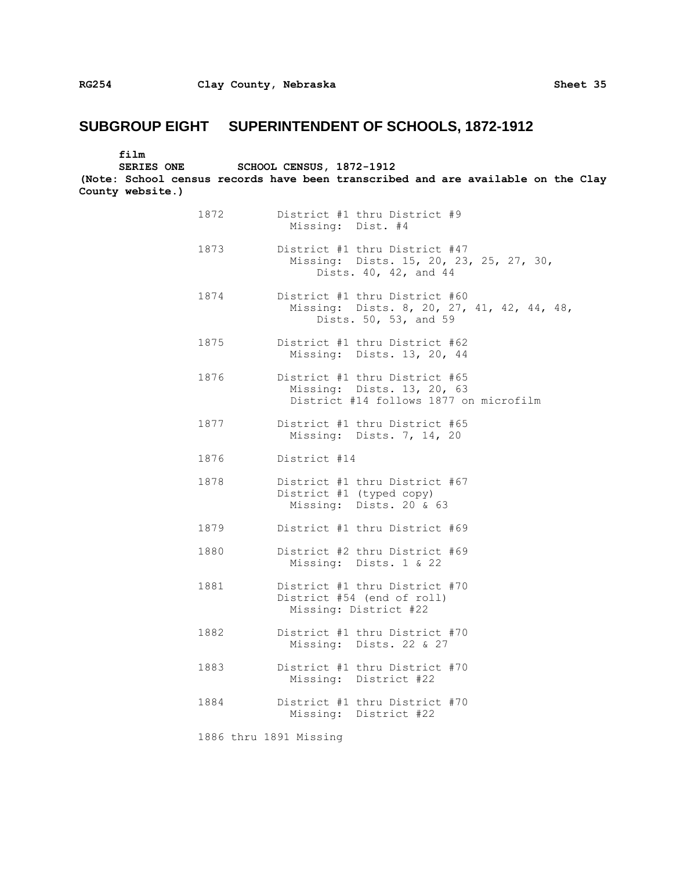| film             |                                                                                                       |                                                             |                                                                      |  |  |  |
|------------------|-------------------------------------------------------------------------------------------------------|-------------------------------------------------------------|----------------------------------------------------------------------|--|--|--|
|                  | <b>SERIES ONE</b><br>(Note: School census records have been transcribed and are available on the Clay | <b>SCHOOL CENSUS, 1872-1912</b>                             |                                                                      |  |  |  |
| County website.) |                                                                                                       |                                                             |                                                                      |  |  |  |
|                  | 1872                                                                                                  | District #1 thru District #9                                | Missing: Dist. #4                                                    |  |  |  |
|                  | 1873                                                                                                  | District #1 thru District #47                               | Missing: Dists. 15, 20, 23, 25, 27, 30,<br>Dists. 40, 42, and 44     |  |  |  |
|                  | 1874                                                                                                  | District #1 thru District #60                               | Missing: Dists. 8, 20, 27, 41, 42, 44, 48,<br>Dists. 50, 53, and 59  |  |  |  |
|                  | 1875                                                                                                  | District #1 thru District #62                               | Missing: Dists. 13, 20, 44                                           |  |  |  |
|                  | 1876                                                                                                  | District #1 thru District #65                               | Missing: Dists. 13, 20, 63<br>District #14 follows 1877 on microfilm |  |  |  |
|                  | 1877                                                                                                  | District #1 thru District #65                               | Missing: Dists. 7, 14, 20                                            |  |  |  |
|                  | 1876                                                                                                  | District #14                                                |                                                                      |  |  |  |
|                  | 1878                                                                                                  | District #1 thru District #67<br>District #1 (typed copy)   | Missing: Dists. 20 & 63                                              |  |  |  |
|                  | 1879                                                                                                  | District #1 thru District #69                               |                                                                      |  |  |  |
|                  | 1880                                                                                                  | District #2 thru District #69                               | Missing: Dists. 1 & 22                                               |  |  |  |
|                  | 1881                                                                                                  | District #1 thru District #70<br>District #54 (end of roll) | Missing: District #22                                                |  |  |  |
|                  | 1882                                                                                                  | District #1 thru District #70<br>Missing:                   | Dists. 22 & 27                                                       |  |  |  |
|                  | 1883                                                                                                  | District #1 thru District #70                               | Missing: District #22                                                |  |  |  |
|                  | 1884                                                                                                  | District #1 thru District #70                               | Missing: District #22                                                |  |  |  |
|                  |                                                                                                       | 1886 thru 1891 Missing                                      |                                                                      |  |  |  |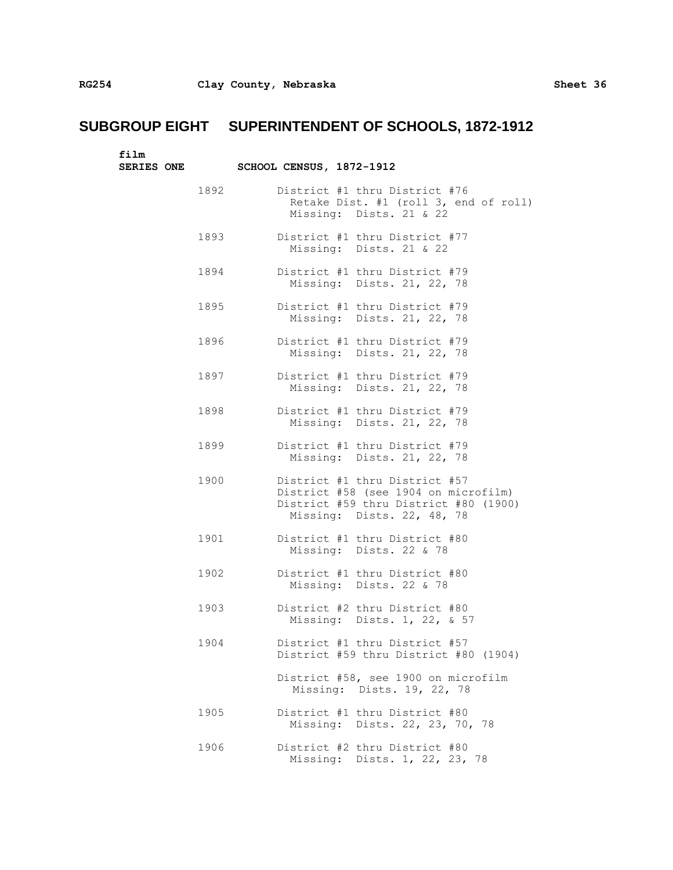| film<br><b>SERIES ONE</b> |      | SCHOOL CENSUS, 1872-1912 |                                                                                                                                              |
|---------------------------|------|--------------------------|----------------------------------------------------------------------------------------------------------------------------------------------|
|                           | 1892 |                          | District #1 thru District #76<br>Retake Dist. #1 (roll 3, end of roll)<br>Missing: Dists. 21 & 22                                            |
|                           | 1893 |                          | District #1 thru District #77<br>Missing: Dists. 21 & 22                                                                                     |
|                           | 1894 |                          | District #1 thru District #79<br>Missing: Dists. 21, 22, 78                                                                                  |
|                           | 1895 |                          | District #1 thru District #79<br>Missing: Dists. 21, 22, 78                                                                                  |
|                           | 1896 |                          | District #1 thru District #79<br>Missing: Dists. 21, 22, 78                                                                                  |
|                           | 1897 |                          | District #1 thru District #79<br>Missing: Dists. 21, 22, 78                                                                                  |
|                           | 1898 |                          | District #1 thru District #79<br>Missing: Dists. 21, 22, 78                                                                                  |
|                           | 1899 |                          | District #1 thru District #79<br>Missing: Dists. 21, 22, 78                                                                                  |
|                           | 1900 |                          | District #1 thru District #57<br>District #58 (see 1904 on microfilm)<br>District #59 thru District #80 (1900)<br>Missing: Dists. 22, 48, 78 |
|                           | 1901 |                          | District #1 thru District #80<br>Missing: Dists. 22 & 78                                                                                     |
|                           | 1902 |                          | District #1 thru District #80<br>Missing: Dists. 22 & 78                                                                                     |
|                           | 1903 |                          | District #2 thru District #80<br>Missing: Dists. 1, 22, & 57                                                                                 |
|                           | 1904 |                          | District #1 thru District #57<br>District #59 thru District #80 (1904)                                                                       |
|                           |      |                          | District #58, see 1900 on microfilm<br>Missing: Dists. 19, 22, 78                                                                            |
|                           | 1905 |                          | District #1 thru District #80<br>Missing: Dists. 22, 23, 70, 78                                                                              |
|                           | 1906 |                          | District #2 thru District #80<br>Missing: Dists. 1, 22, 23, 78                                                                               |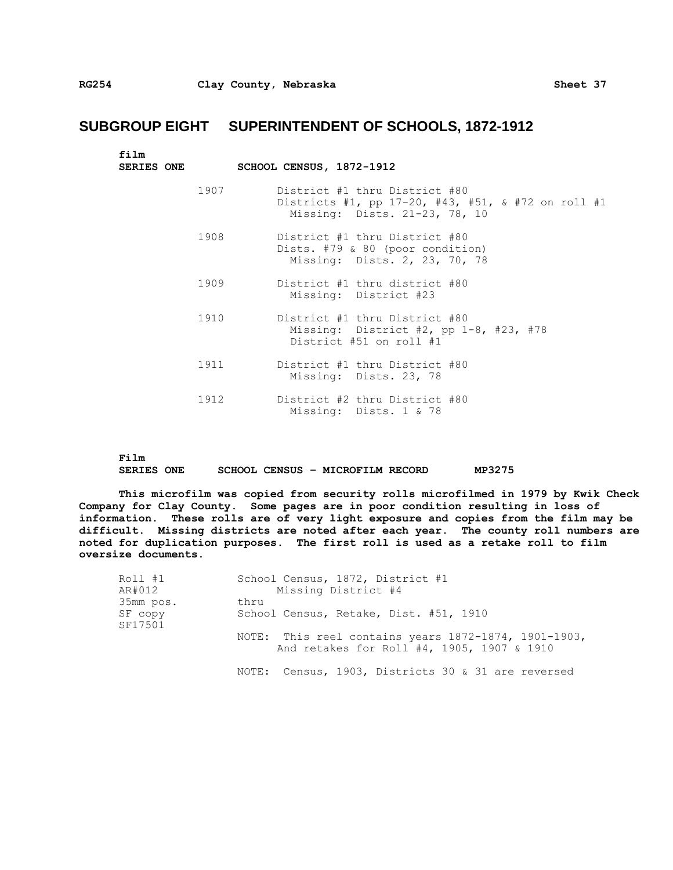| film<br><b>SERIES ONE</b> | SCHOOL CENSUS, 1872-1912                                                                                             |
|---------------------------|----------------------------------------------------------------------------------------------------------------------|
| 1907                      | District #1 thru District #80<br>Districts #1, pp 17-20, #43, #51, & #72 on roll #1<br>Missing: Dists. 21-23, 78, 10 |
| 1908                      | District #1 thru District #80<br>Dists. #79 & 80 (poor condition)<br>Missing: Dists. 2, 23, 70, 78                   |
| 1909                      | District #1 thru district #80<br>Missing: District #23                                                               |
| 1910                      | District #1 thru District #80<br>Missing: District #2, pp $1-8$ , #23, #78<br>District #51 on roll #1                |
| 1911                      | District #1 thru District #80<br>Missing: Dists. 23, 78                                                              |
| 1912                      | District #2 thru District #80<br>Missing: Dists. 1 & 78                                                              |

**Film SERIES ONE SCHOOL CENSUS – MICROFILM RECORD MP3275**

**This microfilm was copied from security rolls microfilmed in 1979 by Kwik Check Company for Clay County. Some pages are in poor condition resulting in loss of information. These rolls are of very light exposure and copies from the film may be difficult. Missing districts are noted after each year. The county roll numbers are noted for duplication purposes. The first roll is used as a retake roll to film oversize documents.**

| Roll #1            | School Census, 1872, District #1                                                                   |  |  |  |  |  |  |
|--------------------|----------------------------------------------------------------------------------------------------|--|--|--|--|--|--|
| AR#012             | Missing District #4                                                                                |  |  |  |  |  |  |
| 35mm pos.          | thru                                                                                               |  |  |  |  |  |  |
| SF copy<br>SF17501 | School Census, Retake, Dist. #51, 1910                                                             |  |  |  |  |  |  |
|                    | NOTE: This reel contains years 1872-1874, 1901-1903,<br>And retakes for Roll #4, 1905, 1907 & 1910 |  |  |  |  |  |  |
|                    | NOTE: Census, 1903, Districts 30 & 31 are reversed                                                 |  |  |  |  |  |  |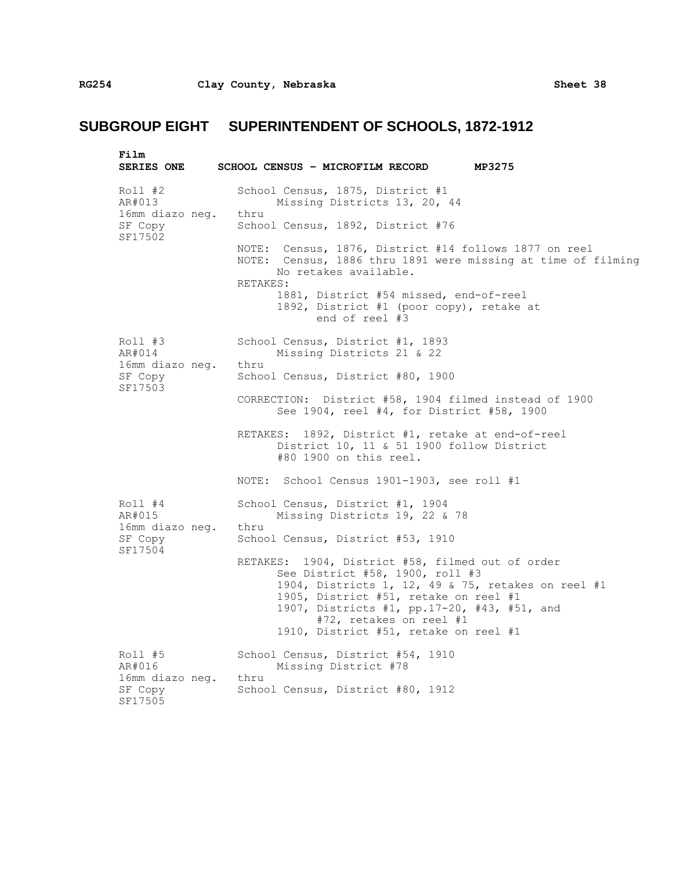| Film<br><b>SERIES ONE</b>                  | SCHOOL CENSUS - MICROFILM RECORD<br>MP3275                                                                                                                                                                                                                                                            |
|--------------------------------------------|-------------------------------------------------------------------------------------------------------------------------------------------------------------------------------------------------------------------------------------------------------------------------------------------------------|
| $Roll$ #2<br>AR#013<br>16mm diazo neg.     | School Census, 1875, District #1<br>Missing Districts 13, 20, 44<br>thru                                                                                                                                                                                                                              |
| SF Copy<br>SF17502                         | School Census, 1892, District #76<br>NOTE: Census, 1876, District #14 follows 1877 on reel                                                                                                                                                                                                            |
|                                            | NOTE: Census, 1886 thru 1891 were missing at time of filming<br>No retakes available.<br>RETAKES:                                                                                                                                                                                                     |
|                                            | 1881, District #54 missed, end-of-reel<br>1892, District #1 (poor copy), retake at<br>end of reel #3                                                                                                                                                                                                  |
| Roll #3<br>AR#014                          | School Census, District #1, 1893<br>Missing Districts 21 & 22                                                                                                                                                                                                                                         |
| 16mm diazo neg.<br>SF Copy<br>SF17503      | thru<br>School Census, District #80, 1900                                                                                                                                                                                                                                                             |
|                                            | CORRECTION: District #58, 1904 filmed instead of 1900<br>See 1904, reel #4, for District #58, 1900                                                                                                                                                                                                    |
|                                            | RETAKES: 1892, District #1, retake at end-of-reel<br>District 10, 11 & 51 1900 follow District<br>#80 1900 on this reel.                                                                                                                                                                              |
|                                            | NOTE: School Census 1901-1903, see roll #1                                                                                                                                                                                                                                                            |
| Roll #4<br>AR#015                          | School Census, District #1, 1904<br>Missing Districts 19, 22 & 78                                                                                                                                                                                                                                     |
| 16mm diazo neg. thru<br>SF Copy<br>SF17504 | School Census, District #53, 1910                                                                                                                                                                                                                                                                     |
|                                            | RETAKES: 1904, District #58, filmed out of order<br>See District #58, 1900, roll #3<br>1904, Districts 1, 12, 49 & 75, retakes on reel #1<br>1905, District #51, retake on reel #1<br>1907, Districts #1, pp.17-20, #43, #51, and<br>#72, retakes on reel #1<br>1910, District #51, retake on reel #1 |
| Roll #5<br>AR#016                          | School Census, District #54, 1910<br>Missing District #78                                                                                                                                                                                                                                             |
| 16mm diazo neg.<br>SF Copy<br>SF17505      | thru<br>School Census, District #80, 1912                                                                                                                                                                                                                                                             |